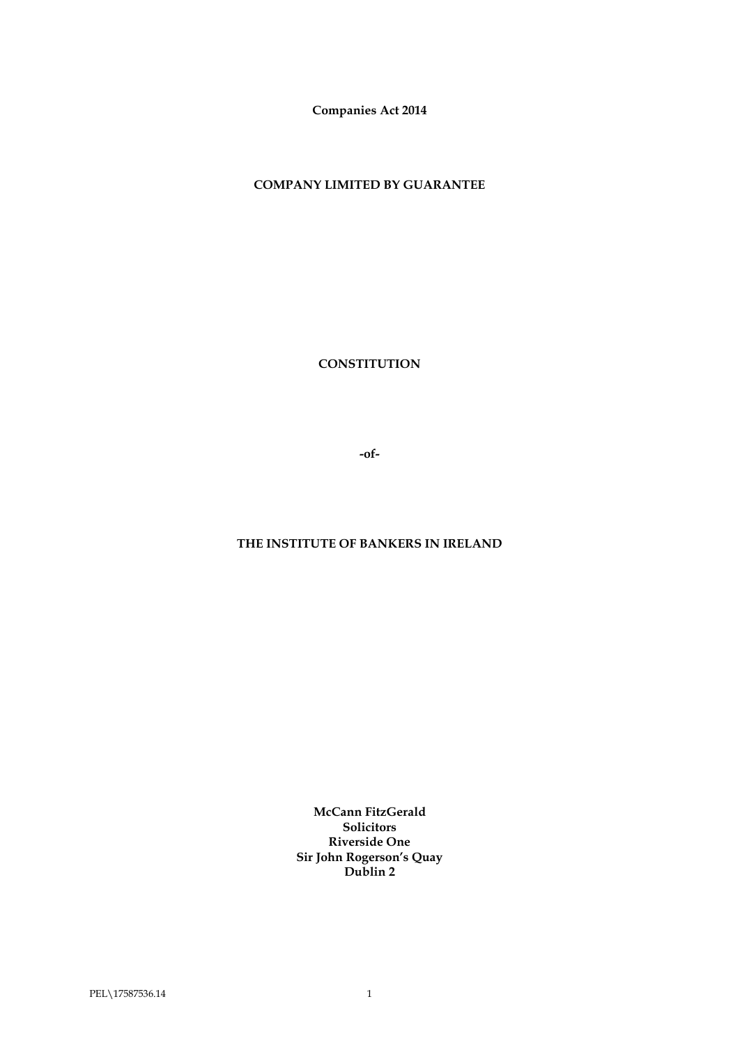**Companies Act 2014**

**COMPANY LIMITED BY GUARANTEE**

**CONSTITUTION**

**-of-**

# **THE INSTITUTE OF BANKERS IN IRELAND**

**McCann FitzGerald Solicitors Riverside One Sir John Rogerson's Quay Dublin 2**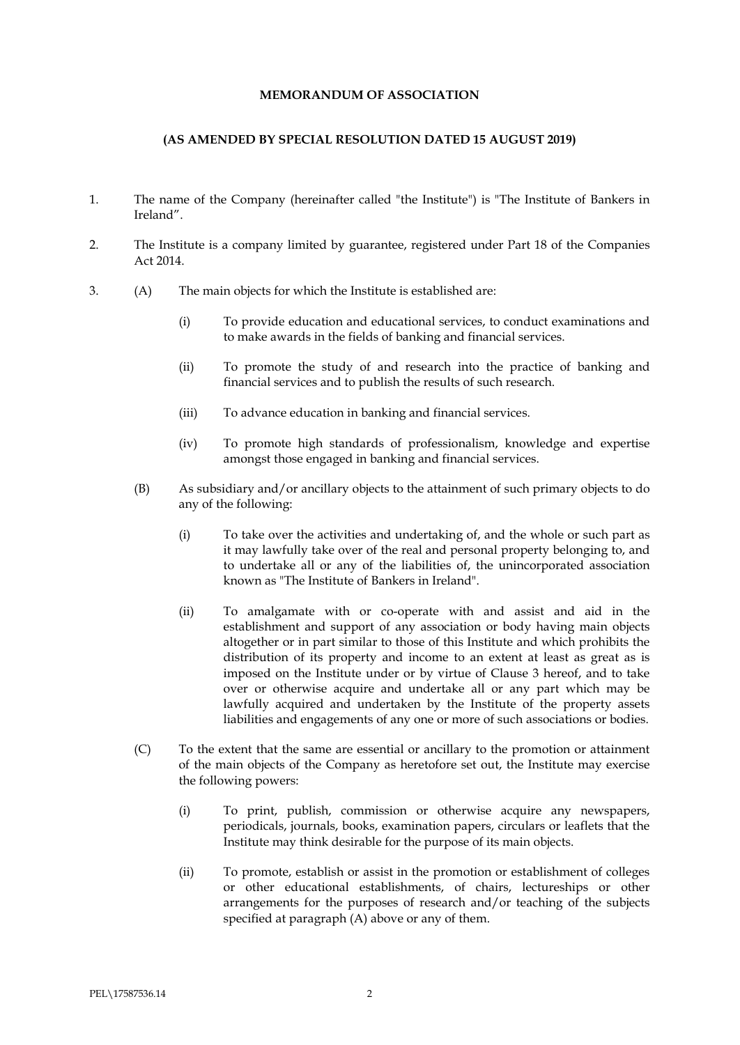# **MEMORANDUM OF ASSOCIATION**

# **(AS AMENDED BY SPECIAL RESOLUTION DATED 15 AUGUST 2019)**

- 1. The name of the Company (hereinafter called "the Institute") is "The Institute of Bankers in Ireland".
- 2. The Institute is a company limited by guarantee, registered under Part 18 of the Companies Act 2014.
- 3. (A) The main objects for which the Institute is established are:
	- (i) To provide education and educational services, to conduct examinations and to make awards in the fields of banking and financial services.
	- (ii) To promote the study of and research into the practice of banking and financial services and to publish the results of such research.
	- (iii) To advance education in banking and financial services.
	- (iv) To promote high standards of professionalism, knowledge and expertise amongst those engaged in banking and financial services.
	- (B) As subsidiary and/or ancillary objects to the attainment of such primary objects to do any of the following:
		- (i) To take over the activities and undertaking of, and the whole or such part as it may lawfully take over of the real and personal property belonging to, and to undertake all or any of the liabilities of, the unincorporated association known as "The Institute of Bankers in Ireland".
		- (ii) To amalgamate with or co-operate with and assist and aid in the establishment and support of any association or body having main objects altogether or in part similar to those of this Institute and which prohibits the distribution of its property and income to an extent at least as great as is imposed on the Institute under or by virtue of Clause 3 hereof, and to take over or otherwise acquire and undertake all or any part which may be lawfully acquired and undertaken by the Institute of the property assets liabilities and engagements of any one or more of such associations or bodies.
	- (C) To the extent that the same are essential or ancillary to the promotion or attainment of the main objects of the Company as heretofore set out, the Institute may exercise the following powers:
		- (i) To print, publish, commission or otherwise acquire any newspapers, periodicals, journals, books, examination papers, circulars or leaflets that the Institute may think desirable for the purpose of its main objects.
		- (ii) To promote, establish or assist in the promotion or establishment of colleges or other educational establishments, of chairs, lectureships or other arrangements for the purposes of research and/or teaching of the subjects specified at paragraph (A) above or any of them.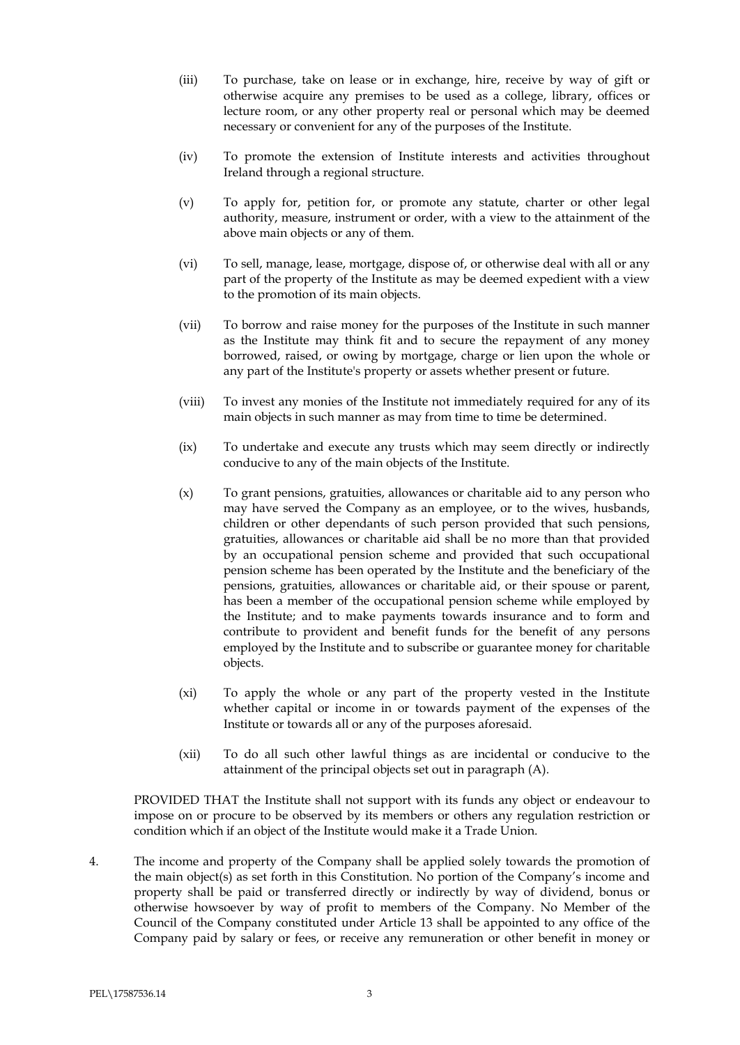- (iii) To purchase, take on lease or in exchange, hire, receive by way of gift or otherwise acquire any premises to be used as a college, library, offices or lecture room, or any other property real or personal which may be deemed necessary or convenient for any of the purposes of the Institute.
- (iv) To promote the extension of Institute interests and activities throughout Ireland through a regional structure.
- (v) To apply for, petition for, or promote any statute, charter or other legal authority, measure, instrument or order, with a view to the attainment of the above main objects or any of them.
- (vi) To sell, manage, lease, mortgage, dispose of, or otherwise deal with all or any part of the property of the Institute as may be deemed expedient with a view to the promotion of its main objects.
- (vii) To borrow and raise money for the purposes of the Institute in such manner as the Institute may think fit and to secure the repayment of any money borrowed, raised, or owing by mortgage, charge or lien upon the whole or any part of the Institute's property or assets whether present or future.
- (viii) To invest any monies of the Institute not immediately required for any of its main objects in such manner as may from time to time be determined.
- (ix) To undertake and execute any trusts which may seem directly or indirectly conducive to any of the main objects of the Institute.
- (x) To grant pensions, gratuities, allowances or charitable aid to any person who may have served the Company as an employee, or to the wives, husbands, children or other dependants of such person provided that such pensions, gratuities, allowances or charitable aid shall be no more than that provided by an occupational pension scheme and provided that such occupational pension scheme has been operated by the Institute and the beneficiary of the pensions, gratuities, allowances or charitable aid, or their spouse or parent, has been a member of the occupational pension scheme while employed by the Institute; and to make payments towards insurance and to form and contribute to provident and benefit funds for the benefit of any persons employed by the Institute and to subscribe or guarantee money for charitable objects.
- (xi) To apply the whole or any part of the property vested in the Institute whether capital or income in or towards payment of the expenses of the Institute or towards all or any of the purposes aforesaid.
- (xii) To do all such other lawful things as are incidental or conducive to the attainment of the principal objects set out in paragraph (A).

PROVIDED THAT the Institute shall not support with its funds any object or endeavour to impose on or procure to be observed by its members or others any regulation restriction or condition which if an object of the Institute would make it a Trade Union.

4. The income and property of the Company shall be applied solely towards the promotion of the main object(s) as set forth in this Constitution. No portion of the Company's income and property shall be paid or transferred directly or indirectly by way of dividend, bonus or otherwise howsoever by way of profit to members of the Company. No Member of the Council of the Company constituted under Article 13 shall be appointed to any office of the Company paid by salary or fees, or receive any remuneration or other benefit in money or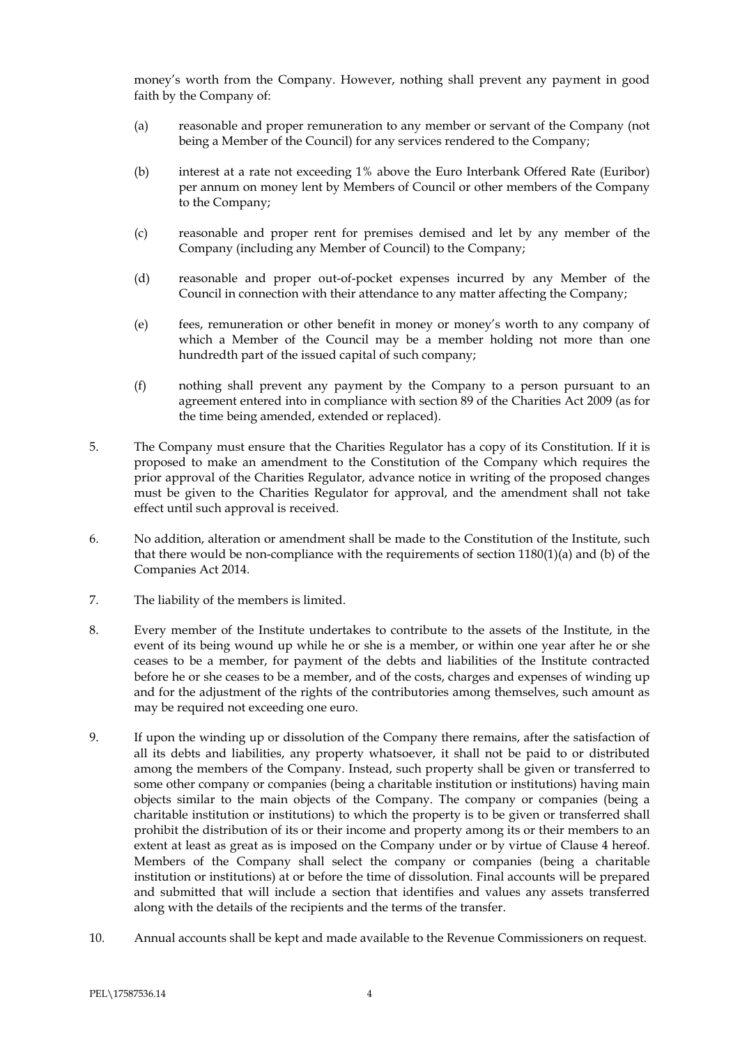money's worth from the Company. However, nothing shall prevent any payment in good faith by the Company of:

- (a) reasonable and proper remuneration to any member or servant of the Company (not being a Member of the Council) for any services rendered to the Company;
- (b) interest at a rate not exceeding 1% above the Euro Interbank Offered Rate (Euribor) per annum on money lent by Members of Council or other members of the Company to the Company;
- (c) reasonable and proper rent for premises demised and let by any member of the Company (including any Member of Council) to the Company;
- (d) reasonable and proper out-of-pocket expenses incurred by any Member of the Council in connection with their attendance to any matter affecting the Company;
- (e) fees, remuneration or other benefit in money or money's worth to any company of which a Member of the Council may be a member holding not more than one hundredth part of the issued capital of such company;
- (f) nothing shall prevent any payment by the Company to a person pursuant to an agreement entered into in compliance with section 89 of the Charities Act 2009 (as for the time being amended, extended or replaced).
- 5. The Company must ensure that the Charities Regulator has a copy of its Constitution. If it is proposed to make an amendment to the Constitution of the Company which requires the prior approval of the Charities Regulator, advance notice in writing of the proposed changes must be given to the Charities Regulator for approval, and the amendment shall not take effect until such approval is received.
- 6. No addition, alteration or amendment shall be made to the Constitution of the Institute, such that there would be non-compliance with the requirements of section  $1180(1)(a)$  and (b) of the Companies Act 2014.
- 7. The liability of the members is limited.
- 8. Every member of the Institute undertakes to contribute to the assets of the Institute, in the event of its being wound up while he or she is a member, or within one year after he or she ceases to be a member, for payment of the debts and liabilities of the Institute contracted before he or she ceases to be a member, and of the costs, charges and expenses of winding up and for the adjustment of the rights of the contributories among themselves, such amount as may be required not exceeding one euro.
- 9. If upon the winding up or dissolution of the Company there remains, after the satisfaction of all its debts and liabilities, any property whatsoever, it shall not be paid to or distributed among the members of the Company. Instead, such property shall be given or transferred to some other company or companies (being a charitable institution or institutions) having main objects similar to the main objects of the Company. The company or companies (being a charitable institution or institutions) to which the property is to be given or transferred shall prohibit the distribution of its or their income and property among its or their members to an extent at least as great as is imposed on the Company under or by virtue of Clause 4 hereof. Members of the Company shall select the company or companies (being a charitable institution or institutions) at or before the time of dissolution. Final accounts will be prepared and submitted that will include a section that identifies and values any assets transferred along with the details of the recipients and the terms of the transfer.
- 10. Annual accounts shall be kept and made available to the Revenue Commissioners on request.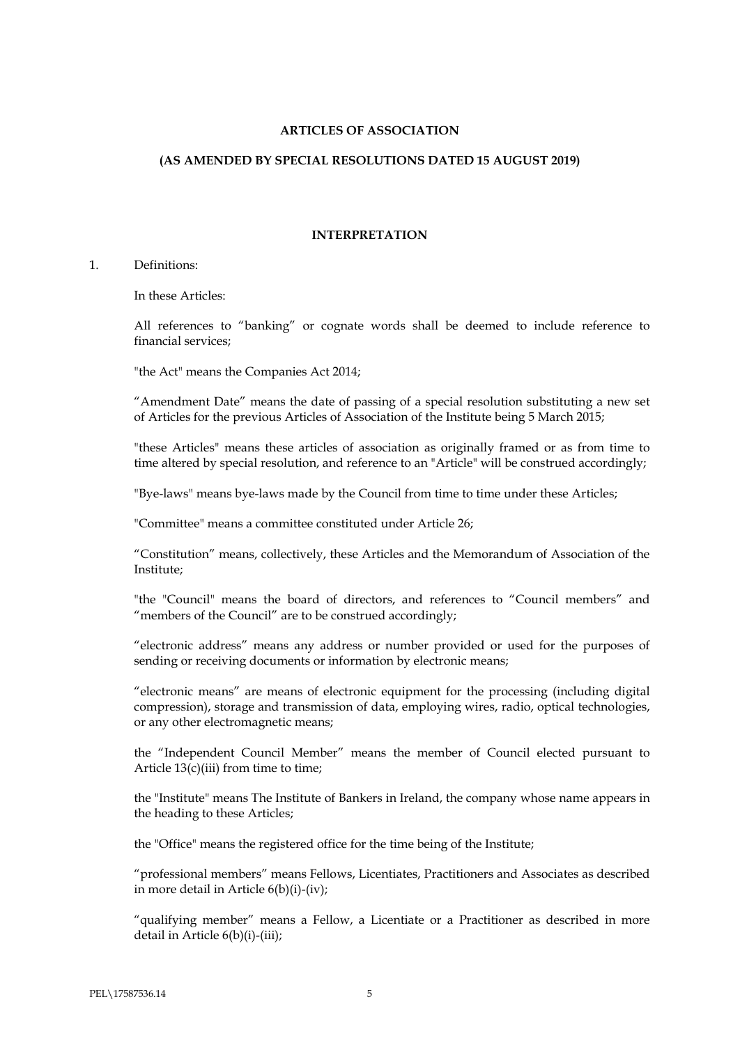# **ARTICLES OF ASSOCIATION**

## **(AS AMENDED BY SPECIAL RESOLUTIONS DATED 15 AUGUST 2019)**

#### **INTERPRETATION**

## 1. Definitions:

In these Articles:

All references to "banking" or cognate words shall be deemed to include reference to financial services;

"the Act" means the Companies Act 2014;

"Amendment Date" means the date of passing of a special resolution substituting a new set of Articles for the previous Articles of Association of the Institute being 5 March 2015;

"these Articles" means these articles of association as originally framed or as from time to time altered by special resolution, and reference to an "Article" will be construed accordingly;

"Bye-laws" means bye-laws made by the Council from time to time under these Articles;

"Committee" means a committee constituted under Article 26;

"Constitution" means, collectively, these Articles and the Memorandum of Association of the Institute;

"the "Council" means the board of directors, and references to "Council members" and "members of the Council" are to be construed accordingly;

"electronic address" means any address or number provided or used for the purposes of sending or receiving documents or information by electronic means;

"electronic means" are means of electronic equipment for the processing (including digital compression), storage and transmission of data, employing wires, radio, optical technologies, or any other electromagnetic means;

the "Independent Council Member" means the member of Council elected pursuant to Article  $13(c)$ (iii) from time to time;

the "Institute" means The Institute of Bankers in Ireland, the company whose name appears in the heading to these Articles;

the "Office" means the registered office for the time being of the Institute;

"professional members" means Fellows, Licentiates, Practitioners and Associates as described in more detail in Article 6(b)(i)-(iv);

"qualifying member" means a Fellow, a Licentiate or a Practitioner as described in more detail in Article 6(b)(i)-(iii);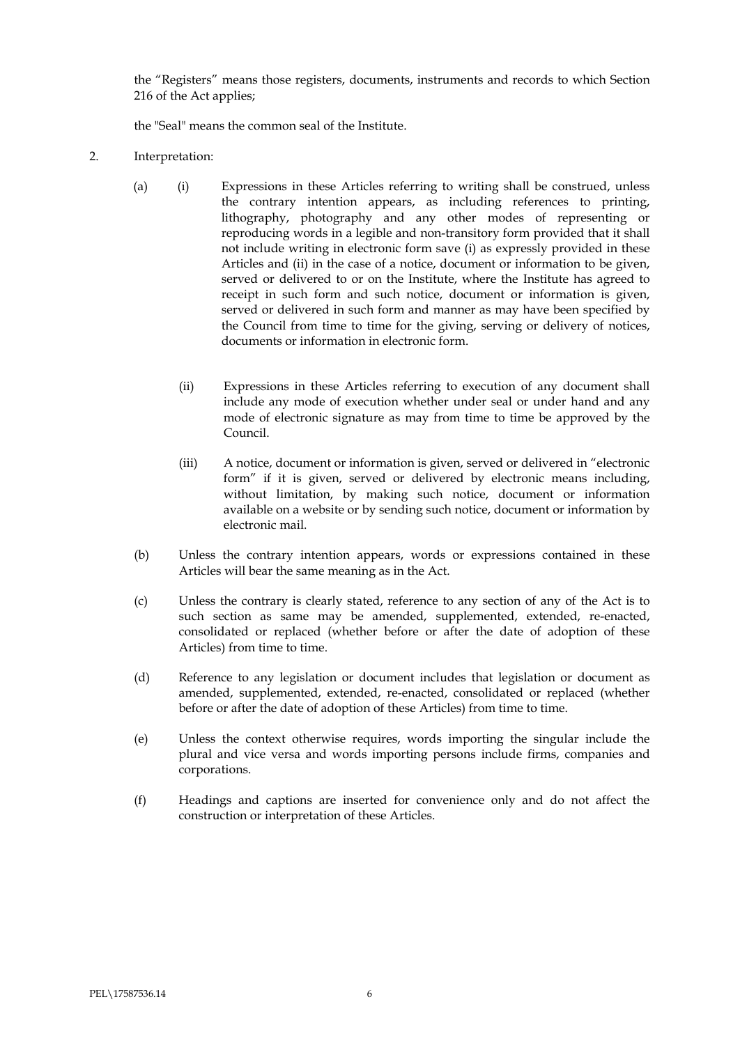the "Registers" means those registers, documents, instruments and records to which Section 216 of the Act applies;

the "Seal" means the common seal of the Institute.

- 2. Interpretation:
	- (a) (i) Expressions in these Articles referring to writing shall be construed, unless the contrary intention appears, as including references to printing, lithography, photography and any other modes of representing or reproducing words in a legible and non-transitory form provided that it shall not include writing in electronic form save (i) as expressly provided in these Articles and (ii) in the case of a notice, document or information to be given, served or delivered to or on the Institute, where the Institute has agreed to receipt in such form and such notice, document or information is given, served or delivered in such form and manner as may have been specified by the Council from time to time for the giving, serving or delivery of notices, documents or information in electronic form.
		- (ii) Expressions in these Articles referring to execution of any document shall include any mode of execution whether under seal or under hand and any mode of electronic signature as may from time to time be approved by the Council.
		- (iii) A notice, document or information is given, served or delivered in "electronic form" if it is given, served or delivered by electronic means including, without limitation, by making such notice, document or information available on a website or by sending such notice, document or information by electronic mail.
	- (b) Unless the contrary intention appears, words or expressions contained in these Articles will bear the same meaning as in the Act.
	- (c) Unless the contrary is clearly stated, reference to any section of any of the Act is to such section as same may be amended, supplemented, extended, re-enacted, consolidated or replaced (whether before or after the date of adoption of these Articles) from time to time.
	- (d) Reference to any legislation or document includes that legislation or document as amended, supplemented, extended, re-enacted, consolidated or replaced (whether before or after the date of adoption of these Articles) from time to time.
	- (e) Unless the context otherwise requires, words importing the singular include the plural and vice versa and words importing persons include firms, companies and corporations.
	- (f) Headings and captions are inserted for convenience only and do not affect the construction or interpretation of these Articles.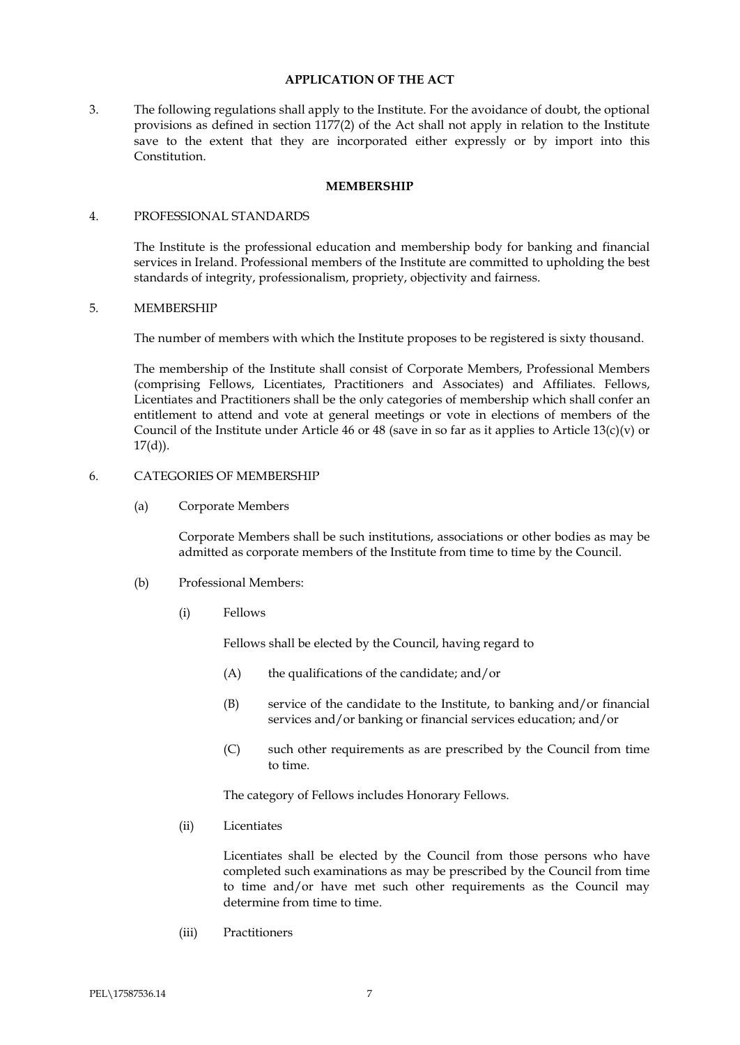# **APPLICATION OF THE ACT**

3. The following regulations shall apply to the Institute. For the avoidance of doubt, the optional provisions as defined in section 1177(2) of the Act shall not apply in relation to the Institute save to the extent that they are incorporated either expressly or by import into this Constitution.

# **MEMBERSHIP**

# 4. PROFESSIONAL STANDARDS

The Institute is the professional education and membership body for banking and financial services in Ireland. Professional members of the Institute are committed to upholding the best standards of integrity, professionalism, propriety, objectivity and fairness.

# 5. MEMBERSHIP

The number of members with which the Institute proposes to be registered is sixty thousand.

The membership of the Institute shall consist of Corporate Members, Professional Members (comprising Fellows, Licentiates, Practitioners and Associates) and Affiliates. Fellows, Licentiates and Practitioners shall be the only categories of membership which shall confer an entitlement to attend and vote at general meetings or vote in elections of members of the Council of the Institute under Article 46 or 48 (save in so far as it applies to Article 13(c)(v) or  $17(d)$ ).

# 6. CATEGORIES OF MEMBERSHIP

(a) Corporate Members

Corporate Members shall be such institutions, associations or other bodies as may be admitted as corporate members of the Institute from time to time by the Council.

- (b) Professional Members:
	- (i) Fellows

Fellows shall be elected by the Council, having regard to

- (A) the qualifications of the candidate; and/or
- (B) service of the candidate to the Institute, to banking and/or financial services and/or banking or financial services education; and/or
- (C) such other requirements as are prescribed by the Council from time to time.

The category of Fellows includes Honorary Fellows.

(ii) Licentiates

Licentiates shall be elected by the Council from those persons who have completed such examinations as may be prescribed by the Council from time to time and/or have met such other requirements as the Council may determine from time to time.

(iii) Practitioners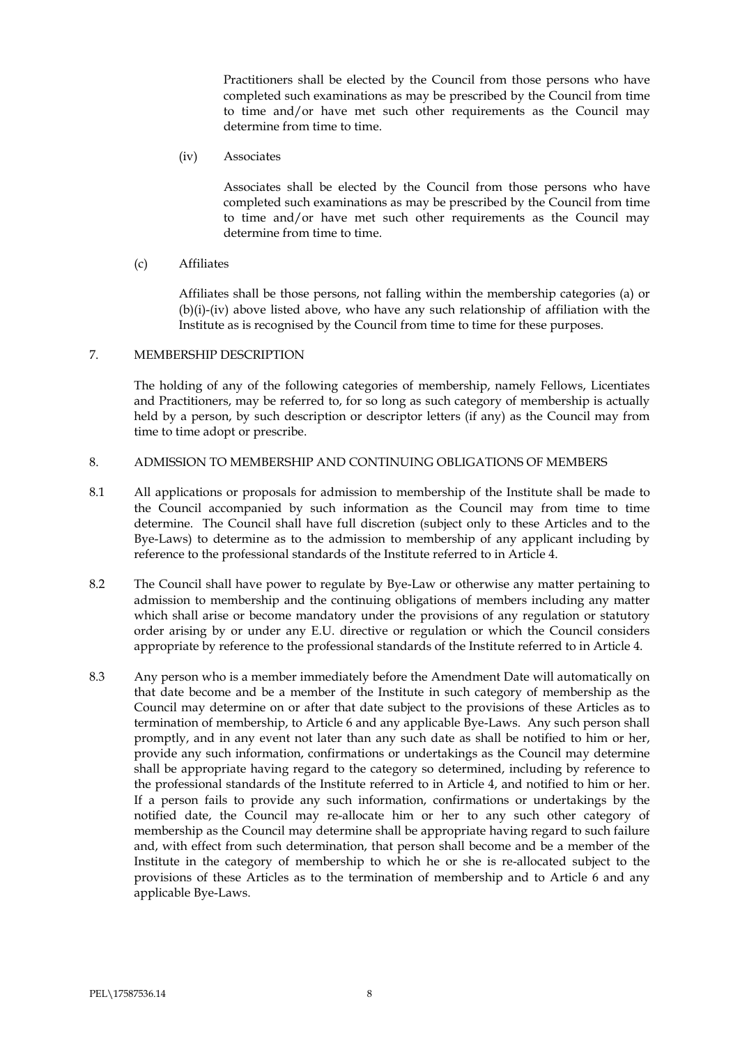Practitioners shall be elected by the Council from those persons who have completed such examinations as may be prescribed by the Council from time to time and/or have met such other requirements as the Council may determine from time to time.

(iv) Associates

Associates shall be elected by the Council from those persons who have completed such examinations as may be prescribed by the Council from time to time and/or have met such other requirements as the Council may determine from time to time.

(c) Affiliates

Affiliates shall be those persons, not falling within the membership categories (a) or (b)(i)-(iv) above listed above, who have any such relationship of affiliation with the Institute as is recognised by the Council from time to time for these purposes.

# 7. MEMBERSHIP DESCRIPTION

The holding of any of the following categories of membership, namely Fellows, Licentiates and Practitioners, may be referred to, for so long as such category of membership is actually held by a person, by such description or descriptor letters (if any) as the Council may from time to time adopt or prescribe.

# 8. ADMISSION TO MEMBERSHIP AND CONTINUING OBLIGATIONS OF MEMBERS

- 8.1 All applications or proposals for admission to membership of the Institute shall be made to the Council accompanied by such information as the Council may from time to time determine. The Council shall have full discretion (subject only to these Articles and to the Bye-Laws) to determine as to the admission to membership of any applicant including by reference to the professional standards of the Institute referred to in Article 4.
- 8.2 The Council shall have power to regulate by Bye-Law or otherwise any matter pertaining to admission to membership and the continuing obligations of members including any matter which shall arise or become mandatory under the provisions of any regulation or statutory order arising by or under any E.U. directive or regulation or which the Council considers appropriate by reference to the professional standards of the Institute referred to in Article 4.
- 8.3 Any person who is a member immediately before the Amendment Date will automatically on that date become and be a member of the Institute in such category of membership as the Council may determine on or after that date subject to the provisions of these Articles as to termination of membership, to Article 6 and any applicable Bye-Laws. Any such person shall promptly, and in any event not later than any such date as shall be notified to him or her, provide any such information, confirmations or undertakings as the Council may determine shall be appropriate having regard to the category so determined, including by reference to the professional standards of the Institute referred to in Article 4, and notified to him or her. If a person fails to provide any such information, confirmations or undertakings by the notified date, the Council may re-allocate him or her to any such other category of membership as the Council may determine shall be appropriate having regard to such failure and, with effect from such determination, that person shall become and be a member of the Institute in the category of membership to which he or she is re-allocated subject to the provisions of these Articles as to the termination of membership and to Article 6 and any applicable Bye-Laws.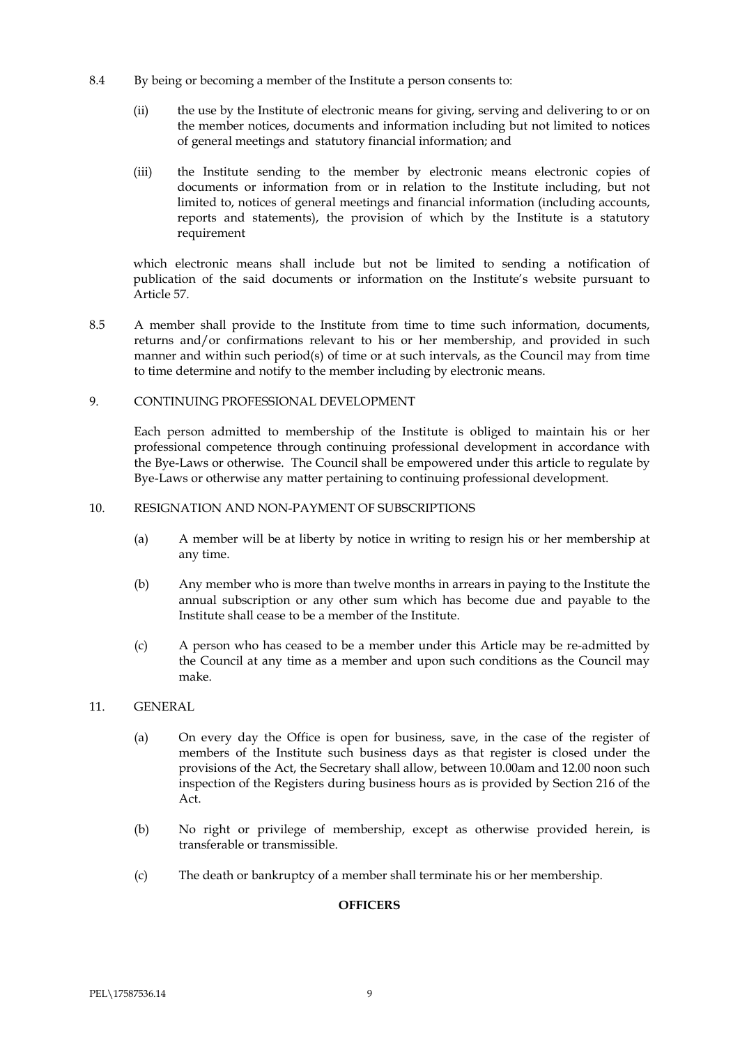- 8.4 By being or becoming a member of the Institute a person consents to:
	- (ii) the use by the Institute of electronic means for giving, serving and delivering to or on the member notices, documents and information including but not limited to notices of general meetings and statutory financial information; and
	- (iii) the Institute sending to the member by electronic means electronic copies of documents or information from or in relation to the Institute including, but not limited to, notices of general meetings and financial information (including accounts, reports and statements), the provision of which by the Institute is a statutory requirement

which electronic means shall include but not be limited to sending a notification of publication of the said documents or information on the Institute's website pursuant to Article 57.

8.5 A member shall provide to the Institute from time to time such information, documents, returns and/or confirmations relevant to his or her membership, and provided in such manner and within such period(s) of time or at such intervals, as the Council may from time to time determine and notify to the member including by electronic means.

# 9. CONTINUING PROFESSIONAL DEVELOPMENT

Each person admitted to membership of the Institute is obliged to maintain his or her professional competence through continuing professional development in accordance with the Bye-Laws or otherwise. The Council shall be empowered under this article to regulate by Bye-Laws or otherwise any matter pertaining to continuing professional development.

# 10. RESIGNATION AND NON-PAYMENT OF SUBSCRIPTIONS

- (a) A member will be at liberty by notice in writing to resign his or her membership at any time.
- (b) Any member who is more than twelve months in arrears in paying to the Institute the annual subscription or any other sum which has become due and payable to the Institute shall cease to be a member of the Institute.
- (c) A person who has ceased to be a member under this Article may be re-admitted by the Council at any time as a member and upon such conditions as the Council may make.

# 11. GENERAL

- (a) On every day the Office is open for business, save, in the case of the register of members of the Institute such business days as that register is closed under the provisions of the Act, the Secretary shall allow, between 10.00am and 12.00 noon such inspection of the Registers during business hours as is provided by Section 216 of the Act.
- (b) No right or privilege of membership, except as otherwise provided herein, is transferable or transmissible.
- (c) The death or bankruptcy of a member shall terminate his or her membership.

# **OFFICERS**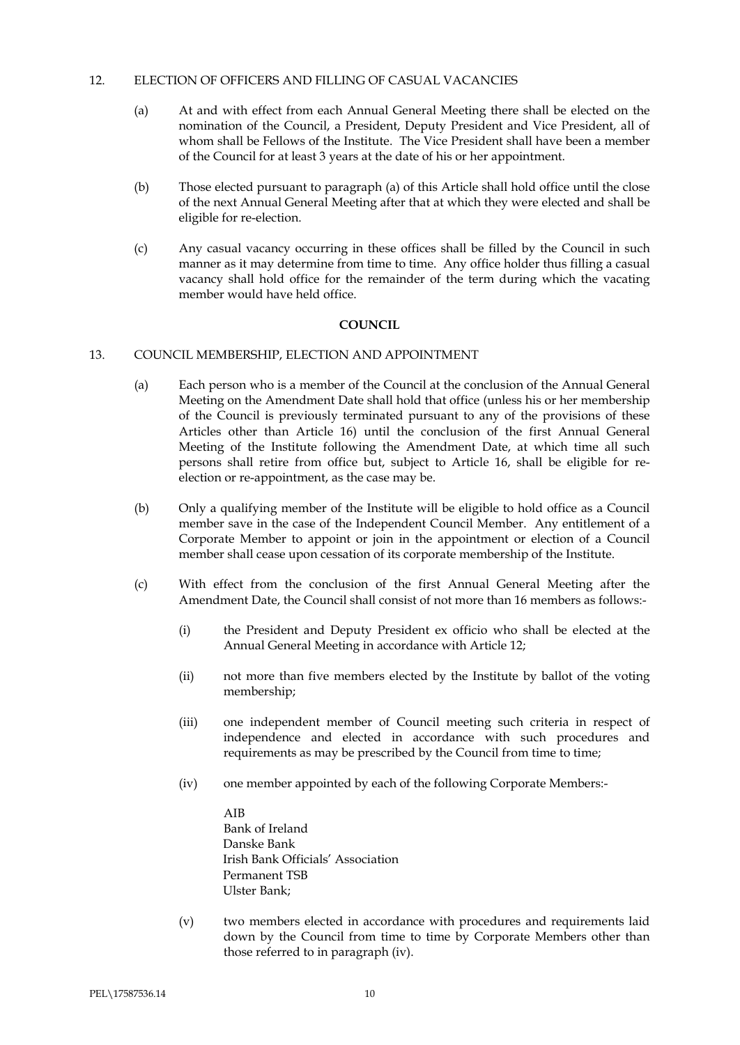# 12. ELECTION OF OFFICERS AND FILLING OF CASUAL VACANCIES

- (a) At and with effect from each Annual General Meeting there shall be elected on the nomination of the Council, a President, Deputy President and Vice President, all of whom shall be Fellows of the Institute. The Vice President shall have been a member of the Council for at least 3 years at the date of his or her appointment.
- (b) Those elected pursuant to paragraph (a) of this Article shall hold office until the close of the next Annual General Meeting after that at which they were elected and shall be eligible for re-election.
- (c) Any casual vacancy occurring in these offices shall be filled by the Council in such manner as it may determine from time to time. Any office holder thus filling a casual vacancy shall hold office for the remainder of the term during which the vacating member would have held office.

# **COUNCIL**

# 13. COUNCIL MEMBERSHIP, ELECTION AND APPOINTMENT

- (a) Each person who is a member of the Council at the conclusion of the Annual General Meeting on the Amendment Date shall hold that office (unless his or her membership of the Council is previously terminated pursuant to any of the provisions of these Articles other than Article 16) until the conclusion of the first Annual General Meeting of the Institute following the Amendment Date, at which time all such persons shall retire from office but, subject to Article 16, shall be eligible for reelection or re-appointment, as the case may be.
- (b) Only a qualifying member of the Institute will be eligible to hold office as a Council member save in the case of the Independent Council Member. Any entitlement of a Corporate Member to appoint or join in the appointment or election of a Council member shall cease upon cessation of its corporate membership of the Institute.
- (c) With effect from the conclusion of the first Annual General Meeting after the Amendment Date, the Council shall consist of not more than 16 members as follows:-
	- (i) the President and Deputy President ex officio who shall be elected at the Annual General Meeting in accordance with Article 12;
	- (ii) not more than five members elected by the Institute by ballot of the voting membership;
	- (iii) one independent member of Council meeting such criteria in respect of independence and elected in accordance with such procedures and requirements as may be prescribed by the Council from time to time;
	- (iv) one member appointed by each of the following Corporate Members:-
		- AIB Bank of Ireland Danske Bank Irish Bank Officials' Association Permanent TSB Ulster Bank;
	- (v) two members elected in accordance with procedures and requirements laid down by the Council from time to time by Corporate Members other than those referred to in paragraph (iv).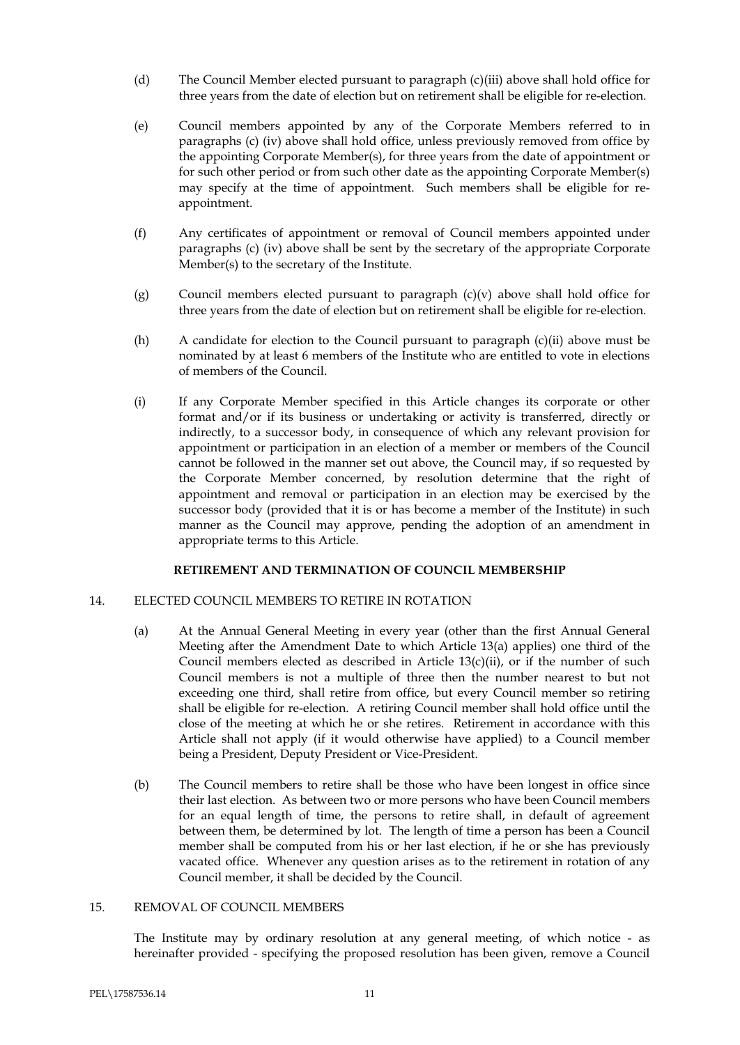- (d) The Council Member elected pursuant to paragraph (c)(iii) above shall hold office for three years from the date of election but on retirement shall be eligible for re-election.
- (e) Council members appointed by any of the Corporate Members referred to in paragraphs (c) (iv) above shall hold office, unless previously removed from office by the appointing Corporate Member(s), for three years from the date of appointment or for such other period or from such other date as the appointing Corporate Member(s) may specify at the time of appointment. Such members shall be eligible for reappointment.
- (f) Any certificates of appointment or removal of Council members appointed under paragraphs (c) (iv) above shall be sent by the secretary of the appropriate Corporate Member(s) to the secretary of the Institute.
- (g) Council members elected pursuant to paragraph  $(c)(v)$  above shall hold office for three years from the date of election but on retirement shall be eligible for re-election.
- (h) A candidate for election to the Council pursuant to paragraph (c)(ii) above must be nominated by at least 6 members of the Institute who are entitled to vote in elections of members of the Council.
- (i) If any Corporate Member specified in this Article changes its corporate or other format and/or if its business or undertaking or activity is transferred, directly or indirectly, to a successor body, in consequence of which any relevant provision for appointment or participation in an election of a member or members of the Council cannot be followed in the manner set out above, the Council may, if so requested by the Corporate Member concerned, by resolution determine that the right of appointment and removal or participation in an election may be exercised by the successor body (provided that it is or has become a member of the Institute) in such manner as the Council may approve, pending the adoption of an amendment in appropriate terms to this Article.

# **RETIREMENT AND TERMINATION OF COUNCIL MEMBERSHIP**

# 14. ELECTED COUNCIL MEMBERS TO RETIRE IN ROTATION

- (a) At the Annual General Meeting in every year (other than the first Annual General Meeting after the Amendment Date to which Article 13(a) applies) one third of the Council members elected as described in Article  $13(c)(ii)$ , or if the number of such Council members is not a multiple of three then the number nearest to but not exceeding one third, shall retire from office, but every Council member so retiring shall be eligible for re-election. A retiring Council member shall hold office until the close of the meeting at which he or she retires. Retirement in accordance with this Article shall not apply (if it would otherwise have applied) to a Council member being a President, Deputy President or Vice-President.
- (b) The Council members to retire shall be those who have been longest in office since their last election. As between two or more persons who have been Council members for an equal length of time, the persons to retire shall, in default of agreement between them, be determined by lot. The length of time a person has been a Council member shall be computed from his or her last election, if he or she has previously vacated office. Whenever any question arises as to the retirement in rotation of any Council member, it shall be decided by the Council.

# 15. REMOVAL OF COUNCIL MEMBERS

The Institute may by ordinary resolution at any general meeting, of which notice - as hereinafter provided - specifying the proposed resolution has been given, remove a Council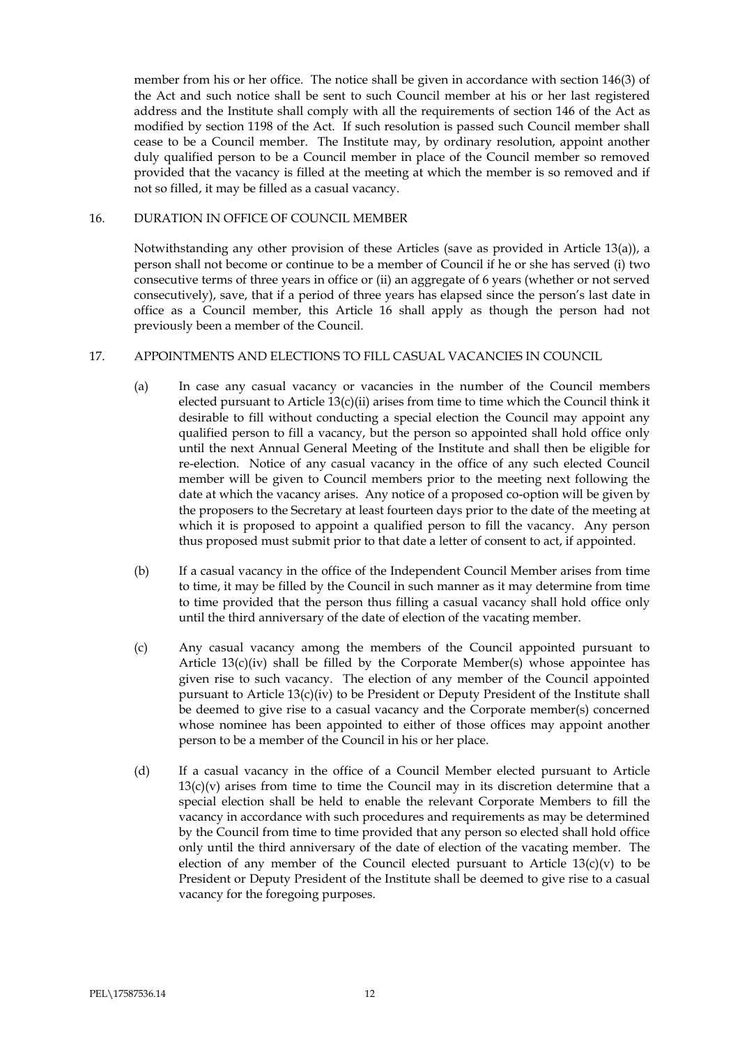member from his or her office. The notice shall be given in accordance with section 146(3) of the Act and such notice shall be sent to such Council member at his or her last registered address and the Institute shall comply with all the requirements of section 146 of the Act as modified by section 1198 of the Act. If such resolution is passed such Council member shall cease to be a Council member. The Institute may, by ordinary resolution, appoint another duly qualified person to be a Council member in place of the Council member so removed provided that the vacancy is filled at the meeting at which the member is so removed and if not so filled, it may be filled as a casual vacancy.

# 16. DURATION IN OFFICE OF COUNCIL MEMBER

Notwithstanding any other provision of these Articles (save as provided in Article 13(a)), a person shall not become or continue to be a member of Council if he or she has served (i) two consecutive terms of three years in office or (ii) an aggregate of 6 years (whether or not served consecutively), save, that if a period of three years has elapsed since the person's last date in office as a Council member, this Article 16 shall apply as though the person had not previously been a member of the Council.

# 17. APPOINTMENTS AND ELECTIONS TO FILL CASUAL VACANCIES IN COUNCIL

- (a) In case any casual vacancy or vacancies in the number of the Council members elected pursuant to Article 13(c)(ii) arises from time to time which the Council think it desirable to fill without conducting a special election the Council may appoint any qualified person to fill a vacancy, but the person so appointed shall hold office only until the next Annual General Meeting of the Institute and shall then be eligible for re-election. Notice of any casual vacancy in the office of any such elected Council member will be given to Council members prior to the meeting next following the date at which the vacancy arises. Any notice of a proposed co-option will be given by the proposers to the Secretary at least fourteen days prior to the date of the meeting at which it is proposed to appoint a qualified person to fill the vacancy. Any person thus proposed must submit prior to that date a letter of consent to act, if appointed.
- (b) If a casual vacancy in the office of the Independent Council Member arises from time to time, it may be filled by the Council in such manner as it may determine from time to time provided that the person thus filling a casual vacancy shall hold office only until the third anniversary of the date of election of the vacating member.
- (c) Any casual vacancy among the members of the Council appointed pursuant to Article  $13(c)(iv)$  shall be filled by the Corporate Member(s) whose appointee has given rise to such vacancy. The election of any member of the Council appointed pursuant to Article 13(c)(iv) to be President or Deputy President of the Institute shall be deemed to give rise to a casual vacancy and the Corporate member(s) concerned whose nominee has been appointed to either of those offices may appoint another person to be a member of the Council in his or her place.
- (d) If a casual vacancy in the office of a Council Member elected pursuant to Article  $13(c)(v)$  arises from time to time the Council may in its discretion determine that a special election shall be held to enable the relevant Corporate Members to fill the vacancy in accordance with such procedures and requirements as may be determined by the Council from time to time provided that any person so elected shall hold office only until the third anniversary of the date of election of the vacating member. The election of any member of the Council elected pursuant to Article  $13(c)(v)$  to be President or Deputy President of the Institute shall be deemed to give rise to a casual vacancy for the foregoing purposes.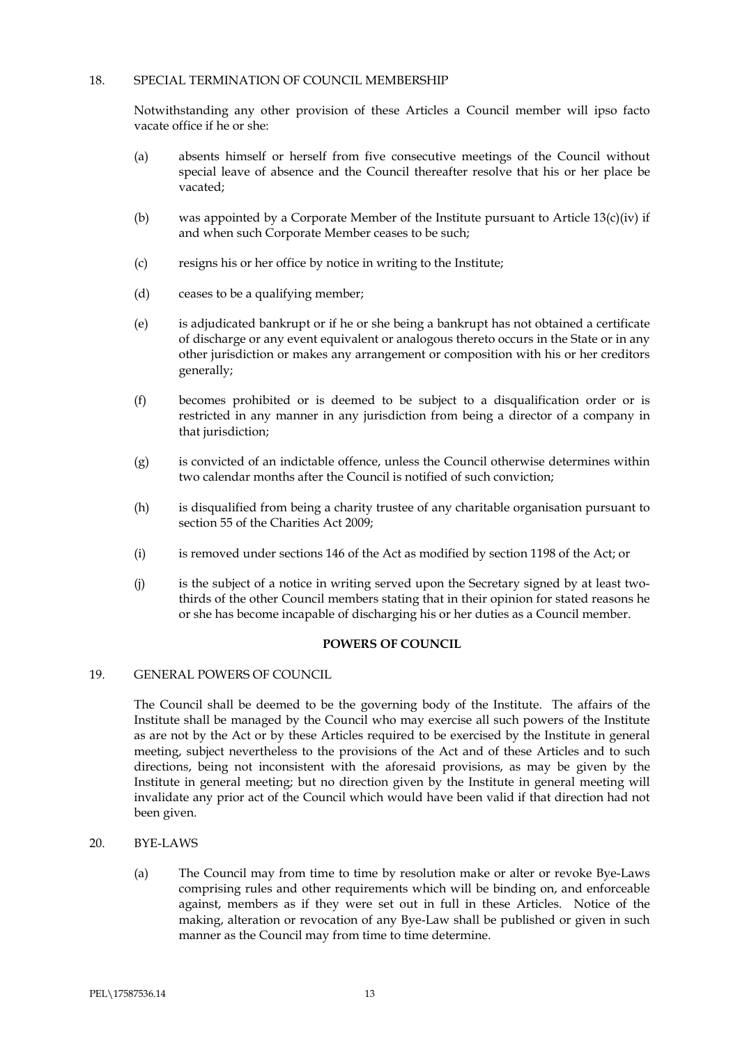# 18. SPECIAL TERMINATION OF COUNCIL MEMBERSHIP

Notwithstanding any other provision of these Articles a Council member will ipso facto vacate office if he or she:

- (a) absents himself or herself from five consecutive meetings of the Council without special leave of absence and the Council thereafter resolve that his or her place be vacated;
- (b) was appointed by a Corporate Member of the Institute pursuant to Article  $13(c)(iv)$  if and when such Corporate Member ceases to be such;
- (c) resigns his or her office by notice in writing to the Institute;
- (d) ceases to be a qualifying member;
- (e) is adjudicated bankrupt or if he or she being a bankrupt has not obtained a certificate of discharge or any event equivalent or analogous thereto occurs in the State or in any other jurisdiction or makes any arrangement or composition with his or her creditors generally;
- (f) becomes prohibited or is deemed to be subject to a disqualification order or is restricted in any manner in any jurisdiction from being a director of a company in that jurisdiction;
- (g) is convicted of an indictable offence, unless the Council otherwise determines within two calendar months after the Council is notified of such conviction;
- (h) is disqualified from being a charity trustee of any charitable organisation pursuant to section 55 of the Charities Act 2009;
- (i) is removed under sections 146 of the Act as modified by section 1198 of the Act; or
- (j) is the subject of a notice in writing served upon the Secretary signed by at least twothirds of the other Council members stating that in their opinion for stated reasons he or she has become incapable of discharging his or her duties as a Council member.

# **POWERS OF COUNCIL**

# 19. GENERAL POWERS OF COUNCIL

The Council shall be deemed to be the governing body of the Institute. The affairs of the Institute shall be managed by the Council who may exercise all such powers of the Institute as are not by the Act or by these Articles required to be exercised by the Institute in general meeting, subject nevertheless to the provisions of the Act and of these Articles and to such directions, being not inconsistent with the aforesaid provisions, as may be given by the Institute in general meeting; but no direction given by the Institute in general meeting will invalidate any prior act of the Council which would have been valid if that direction had not been given.

- 20. BYE-LAWS
	- (a) The Council may from time to time by resolution make or alter or revoke Bye-Laws comprising rules and other requirements which will be binding on, and enforceable against, members as if they were set out in full in these Articles. Notice of the making, alteration or revocation of any Bye-Law shall be published or given in such manner as the Council may from time to time determine.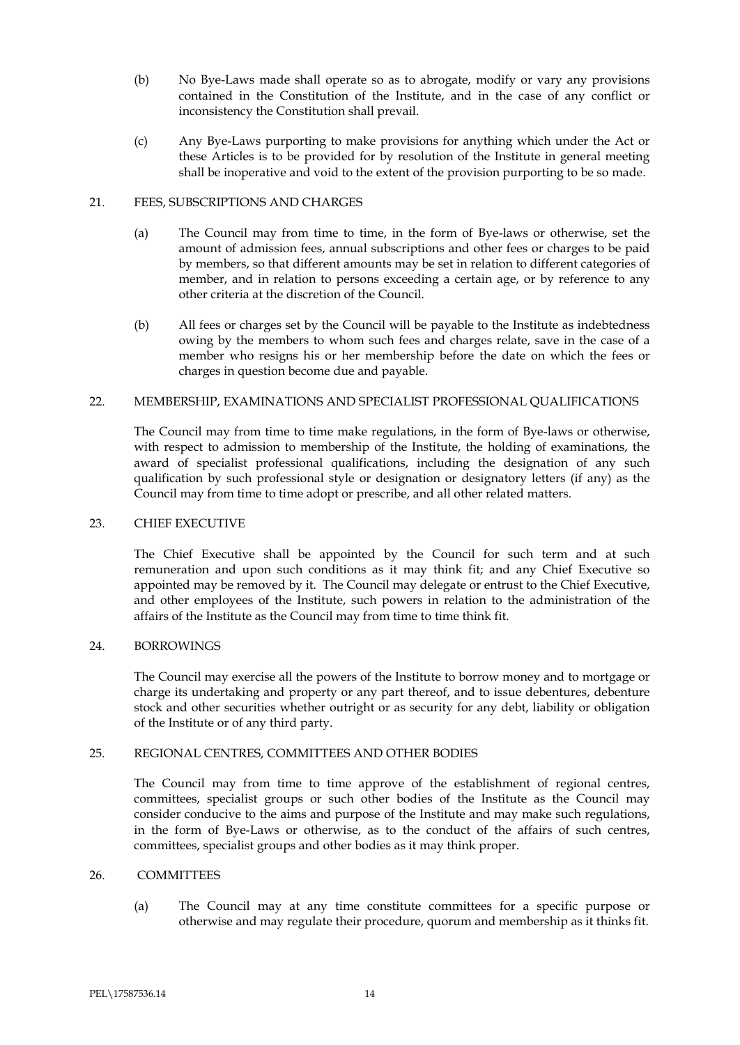- (b) No Bye-Laws made shall operate so as to abrogate, modify or vary any provisions contained in the Constitution of the Institute, and in the case of any conflict or inconsistency the Constitution shall prevail.
- (c) Any Bye-Laws purporting to make provisions for anything which under the Act or these Articles is to be provided for by resolution of the Institute in general meeting shall be inoperative and void to the extent of the provision purporting to be so made.

# 21. FEES, SUBSCRIPTIONS AND CHARGES

- (a) The Council may from time to time, in the form of Bye-laws or otherwise, set the amount of admission fees, annual subscriptions and other fees or charges to be paid by members, so that different amounts may be set in relation to different categories of member, and in relation to persons exceeding a certain age, or by reference to any other criteria at the discretion of the Council.
- (b) All fees or charges set by the Council will be payable to the Institute as indebtedness owing by the members to whom such fees and charges relate, save in the case of a member who resigns his or her membership before the date on which the fees or charges in question become due and payable.

# 22. MEMBERSHIP, EXAMINATIONS AND SPECIALIST PROFESSIONAL QUALIFICATIONS

The Council may from time to time make regulations, in the form of Bye-laws or otherwise, with respect to admission to membership of the Institute, the holding of examinations, the award of specialist professional qualifications, including the designation of any such qualification by such professional style or designation or designatory letters (if any) as the Council may from time to time adopt or prescribe, and all other related matters.

# 23. CHIEF EXECUTIVE

The Chief Executive shall be appointed by the Council for such term and at such remuneration and upon such conditions as it may think fit; and any Chief Executive so appointed may be removed by it. The Council may delegate or entrust to the Chief Executive, and other employees of the Institute, such powers in relation to the administration of the affairs of the Institute as the Council may from time to time think fit.

# 24. BORROWINGS

The Council may exercise all the powers of the Institute to borrow money and to mortgage or charge its undertaking and property or any part thereof, and to issue debentures, debenture stock and other securities whether outright or as security for any debt, liability or obligation of the Institute or of any third party.

# 25. REGIONAL CENTRES, COMMITTEES AND OTHER BODIES

The Council may from time to time approve of the establishment of regional centres, committees, specialist groups or such other bodies of the Institute as the Council may consider conducive to the aims and purpose of the Institute and may make such regulations, in the form of Bye-Laws or otherwise, as to the conduct of the affairs of such centres, committees, specialist groups and other bodies as it may think proper.

# 26. COMMITTEES

(a) The Council may at any time constitute committees for a specific purpose or otherwise and may regulate their procedure, quorum and membership as it thinks fit.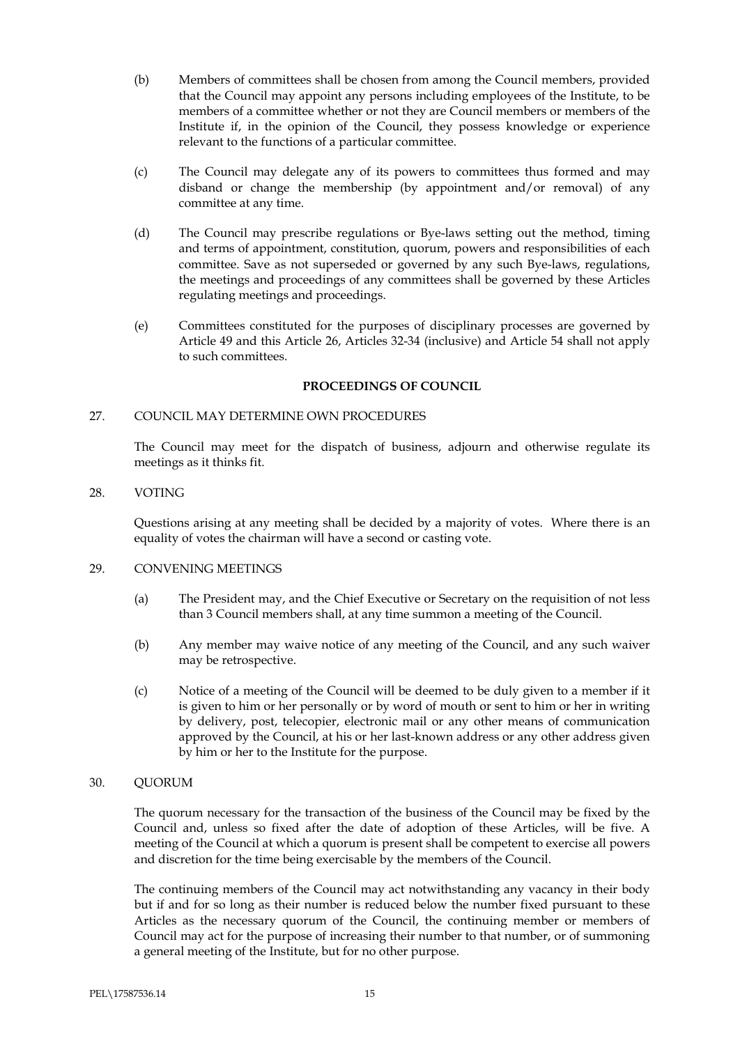- (b) Members of committees shall be chosen from among the Council members, provided that the Council may appoint any persons including employees of the Institute, to be members of a committee whether or not they are Council members or members of the Institute if, in the opinion of the Council, they possess knowledge or experience relevant to the functions of a particular committee.
- (c) The Council may delegate any of its powers to committees thus formed and may disband or change the membership (by appointment and/or removal) of any committee at any time.
- (d) The Council may prescribe regulations or Bye-laws setting out the method, timing and terms of appointment, constitution, quorum, powers and responsibilities of each committee. Save as not superseded or governed by any such Bye-laws, regulations, the meetings and proceedings of any committees shall be governed by these Articles regulating meetings and proceedings.
- (e) Committees constituted for the purposes of disciplinary processes are governed by Article 49 and this Article 26, Articles 32-34 (inclusive) and Article 54 shall not apply to such committees.

# **PROCEEDINGS OF COUNCIL**

# 27. COUNCIL MAY DETERMINE OWN PROCEDURES

The Council may meet for the dispatch of business, adjourn and otherwise regulate its meetings as it thinks fit.

# 28. VOTING

Questions arising at any meeting shall be decided by a majority of votes. Where there is an equality of votes the chairman will have a second or casting vote.

# 29. CONVENING MEETINGS

- (a) The President may, and the Chief Executive or Secretary on the requisition of not less than 3 Council members shall, at any time summon a meeting of the Council.
- (b) Any member may waive notice of any meeting of the Council, and any such waiver may be retrospective.
- (c) Notice of a meeting of the Council will be deemed to be duly given to a member if it is given to him or her personally or by word of mouth or sent to him or her in writing by delivery, post, telecopier, electronic mail or any other means of communication approved by the Council, at his or her last-known address or any other address given by him or her to the Institute for the purpose.

# 30. QUORUM

The quorum necessary for the transaction of the business of the Council may be fixed by the Council and, unless so fixed after the date of adoption of these Articles, will be five. A meeting of the Council at which a quorum is present shall be competent to exercise all powers and discretion for the time being exercisable by the members of the Council.

The continuing members of the Council may act notwithstanding any vacancy in their body but if and for so long as their number is reduced below the number fixed pursuant to these Articles as the necessary quorum of the Council, the continuing member or members of Council may act for the purpose of increasing their number to that number, or of summoning a general meeting of the Institute, but for no other purpose.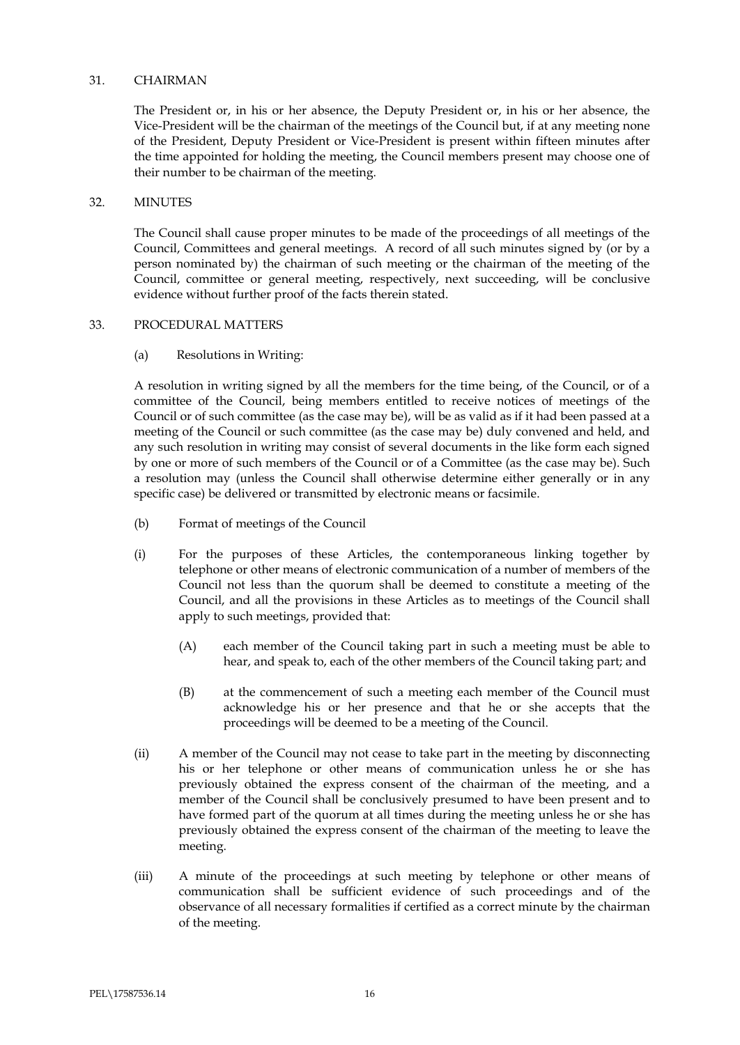## 31. CHAIRMAN

The President or, in his or her absence, the Deputy President or, in his or her absence, the Vice-President will be the chairman of the meetings of the Council but, if at any meeting none of the President, Deputy President or Vice-President is present within fifteen minutes after the time appointed for holding the meeting, the Council members present may choose one of their number to be chairman of the meeting.

### 32. MINUTES

The Council shall cause proper minutes to be made of the proceedings of all meetings of the Council, Committees and general meetings. A record of all such minutes signed by (or by a person nominated by) the chairman of such meeting or the chairman of the meeting of the Council, committee or general meeting, respectively, next succeeding, will be conclusive evidence without further proof of the facts therein stated.

#### 33. PROCEDURAL MATTERS

(a) Resolutions in Writing:

A resolution in writing signed by all the members for the time being, of the Council, or of a committee of the Council, being members entitled to receive notices of meetings of the Council or of such committee (as the case may be), will be as valid as if it had been passed at a meeting of the Council or such committee (as the case may be) duly convened and held, and any such resolution in writing may consist of several documents in the like form each signed by one or more of such members of the Council or of a Committee (as the case may be). Such a resolution may (unless the Council shall otherwise determine either generally or in any specific case) be delivered or transmitted by electronic means or facsimile.

- (b) Format of meetings of the Council
- (i) For the purposes of these Articles, the contemporaneous linking together by telephone or other means of electronic communication of a number of members of the Council not less than the quorum shall be deemed to constitute a meeting of the Council, and all the provisions in these Articles as to meetings of the Council shall apply to such meetings, provided that:
	- (A) each member of the Council taking part in such a meeting must be able to hear, and speak to, each of the other members of the Council taking part; and
	- (B) at the commencement of such a meeting each member of the Council must acknowledge his or her presence and that he or she accepts that the proceedings will be deemed to be a meeting of the Council.
- (ii) A member of the Council may not cease to take part in the meeting by disconnecting his or her telephone or other means of communication unless he or she has previously obtained the express consent of the chairman of the meeting, and a member of the Council shall be conclusively presumed to have been present and to have formed part of the quorum at all times during the meeting unless he or she has previously obtained the express consent of the chairman of the meeting to leave the meeting.
- (iii) A minute of the proceedings at such meeting by telephone or other means of communication shall be sufficient evidence of such proceedings and of the observance of all necessary formalities if certified as a correct minute by the chairman of the meeting.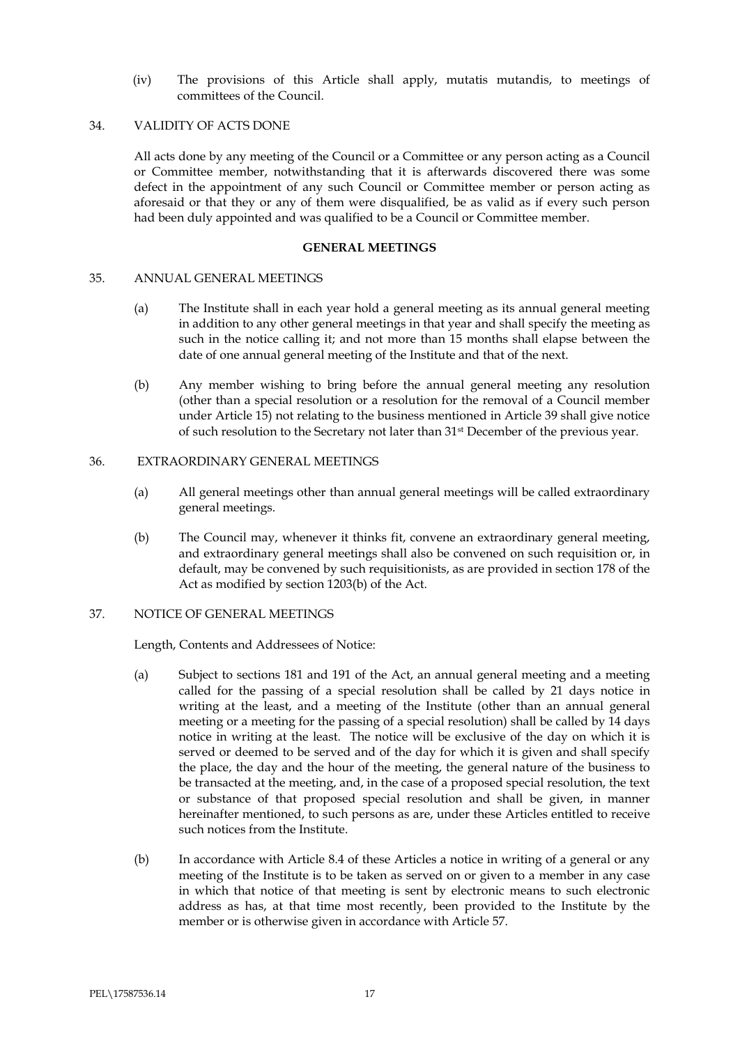(iv) The provisions of this Article shall apply, mutatis mutandis, to meetings of committees of the Council.

## 34. VALIDITY OF ACTS DONE

All acts done by any meeting of the Council or a Committee or any person acting as a Council or Committee member, notwithstanding that it is afterwards discovered there was some defect in the appointment of any such Council or Committee member or person acting as aforesaid or that they or any of them were disqualified, be as valid as if every such person had been duly appointed and was qualified to be a Council or Committee member.

#### **GENERAL MEETINGS**

#### 35. ANNUAL GENERAL MEETINGS

- (a) The Institute shall in each year hold a general meeting as its annual general meeting in addition to any other general meetings in that year and shall specify the meeting as such in the notice calling it; and not more than 15 months shall elapse between the date of one annual general meeting of the Institute and that of the next.
- (b) Any member wishing to bring before the annual general meeting any resolution (other than a special resolution or a resolution for the removal of a Council member under Article 15) not relating to the business mentioned in Article 39 shall give notice of such resolution to the Secretary not later than 31st December of the previous year.

### 36. EXTRAORDINARY GENERAL MEETINGS

- (a) All general meetings other than annual general meetings will be called extraordinary general meetings.
- (b) The Council may, whenever it thinks fit, convene an extraordinary general meeting, and extraordinary general meetings shall also be convened on such requisition or, in default, may be convened by such requisitionists, as are provided in section 178 of the Act as modified by section 1203(b) of the Act.

# 37. NOTICE OF GENERAL MEETINGS

Length, Contents and Addressees of Notice:

- (a) Subject to sections 181 and 191 of the Act, an annual general meeting and a meeting called for the passing of a special resolution shall be called by 21 days notice in writing at the least, and a meeting of the Institute (other than an annual general meeting or a meeting for the passing of a special resolution) shall be called by 14 days notice in writing at the least. The notice will be exclusive of the day on which it is served or deemed to be served and of the day for which it is given and shall specify the place, the day and the hour of the meeting, the general nature of the business to be transacted at the meeting, and, in the case of a proposed special resolution, the text or substance of that proposed special resolution and shall be given, in manner hereinafter mentioned, to such persons as are, under these Articles entitled to receive such notices from the Institute.
- (b) In accordance with Article 8.4 of these Articles a notice in writing of a general or any meeting of the Institute is to be taken as served on or given to a member in any case in which that notice of that meeting is sent by electronic means to such electronic address as has, at that time most recently, been provided to the Institute by the member or is otherwise given in accordance with Article 57.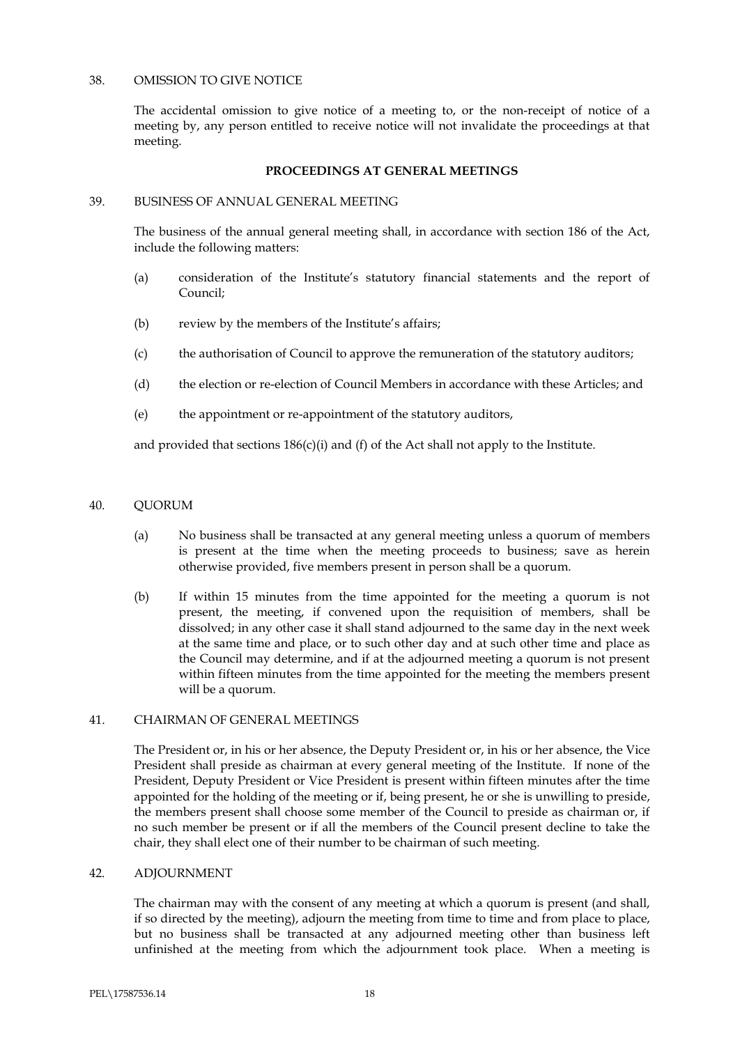# 38. OMISSION TO GIVE NOTICE

The accidental omission to give notice of a meeting to, or the non-receipt of notice of a meeting by, any person entitled to receive notice will not invalidate the proceedings at that meeting.

# **PROCEEDINGS AT GENERAL MEETINGS**

### 39. BUSINESS OF ANNUAL GENERAL MEETING

The business of the annual general meeting shall, in accordance with section 186 of the Act, include the following matters:

- (a) consideration of the Institute's statutory financial statements and the report of Council;
- (b) review by the members of the Institute's affairs;
- (c) the authorisation of Council to approve the remuneration of the statutory auditors;
- (d) the election or re-election of Council Members in accordance with these Articles; and
- (e) the appointment or re-appointment of the statutory auditors,

and provided that sections  $186(c)(i)$  and (f) of the Act shall not apply to the Institute.

# 40. QUORUM

- (a) No business shall be transacted at any general meeting unless a quorum of members is present at the time when the meeting proceeds to business; save as herein otherwise provided, five members present in person shall be a quorum.
- (b) If within 15 minutes from the time appointed for the meeting a quorum is not present, the meeting, if convened upon the requisition of members, shall be dissolved; in any other case it shall stand adjourned to the same day in the next week at the same time and place, or to such other day and at such other time and place as the Council may determine, and if at the adjourned meeting a quorum is not present within fifteen minutes from the time appointed for the meeting the members present will be a quorum.

# 41. CHAIRMAN OF GENERAL MEETINGS

The President or, in his or her absence, the Deputy President or, in his or her absence, the Vice President shall preside as chairman at every general meeting of the Institute. If none of the President, Deputy President or Vice President is present within fifteen minutes after the time appointed for the holding of the meeting or if, being present, he or she is unwilling to preside, the members present shall choose some member of the Council to preside as chairman or, if no such member be present or if all the members of the Council present decline to take the chair, they shall elect one of their number to be chairman of such meeting.

# 42. ADJOURNMENT

The chairman may with the consent of any meeting at which a quorum is present (and shall, if so directed by the meeting), adjourn the meeting from time to time and from place to place, but no business shall be transacted at any adjourned meeting other than business left unfinished at the meeting from which the adjournment took place. When a meeting is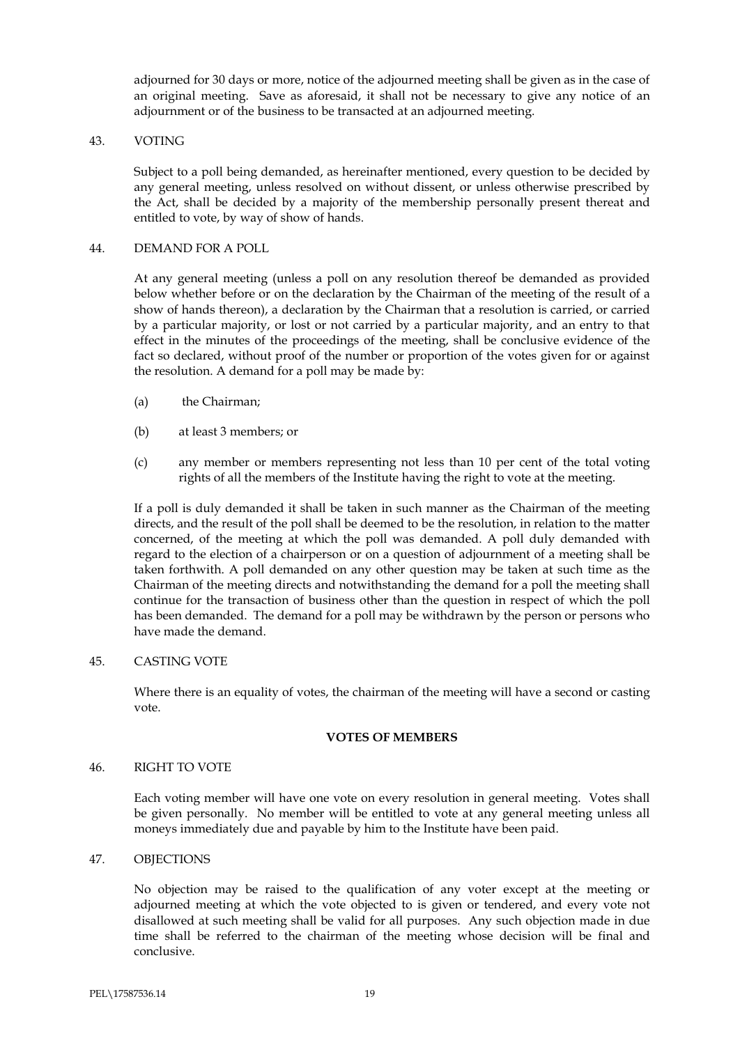adjourned for 30 days or more, notice of the adjourned meeting shall be given as in the case of an original meeting. Save as aforesaid, it shall not be necessary to give any notice of an adjournment or of the business to be transacted at an adjourned meeting.

### 43. VOTING

Subject to a poll being demanded, as hereinafter mentioned, every question to be decided by any general meeting, unless resolved on without dissent, or unless otherwise prescribed by the Act, shall be decided by a majority of the membership personally present thereat and entitled to vote, by way of show of hands.

#### 44. DEMAND FOR A POLL

At any general meeting (unless a poll on any resolution thereof be demanded as provided below whether before or on the declaration by the Chairman of the meeting of the result of a show of hands thereon), a declaration by the Chairman that a resolution is carried, or carried by a particular majority, or lost or not carried by a particular majority, and an entry to that effect in the minutes of the proceedings of the meeting, shall be conclusive evidence of the fact so declared, without proof of the number or proportion of the votes given for or against the resolution. A demand for a poll may be made by:

- (a) the Chairman;
- (b) at least 3 members; or
- (c) any member or members representing not less than 10 per cent of the total voting rights of all the members of the Institute having the right to vote at the meeting.

If a poll is duly demanded it shall be taken in such manner as the Chairman of the meeting directs, and the result of the poll shall be deemed to be the resolution, in relation to the matter concerned, of the meeting at which the poll was demanded. A poll duly demanded with regard to the election of a chairperson or on a question of adjournment of a meeting shall be taken forthwith. A poll demanded on any other question may be taken at such time as the Chairman of the meeting directs and notwithstanding the demand for a poll the meeting shall continue for the transaction of business other than the question in respect of which the poll has been demanded. The demand for a poll may be withdrawn by the person or persons who have made the demand.

# 45. CASTING VOTE

Where there is an equality of votes, the chairman of the meeting will have a second or casting vote.

# **VOTES OF MEMBERS**

# 46. RIGHT TO VOTE

Each voting member will have one vote on every resolution in general meeting. Votes shall be given personally. No member will be entitled to vote at any general meeting unless all moneys immediately due and payable by him to the Institute have been paid.

# 47. OBJECTIONS

No objection may be raised to the qualification of any voter except at the meeting or adjourned meeting at which the vote objected to is given or tendered, and every vote not disallowed at such meeting shall be valid for all purposes. Any such objection made in due time shall be referred to the chairman of the meeting whose decision will be final and conclusive.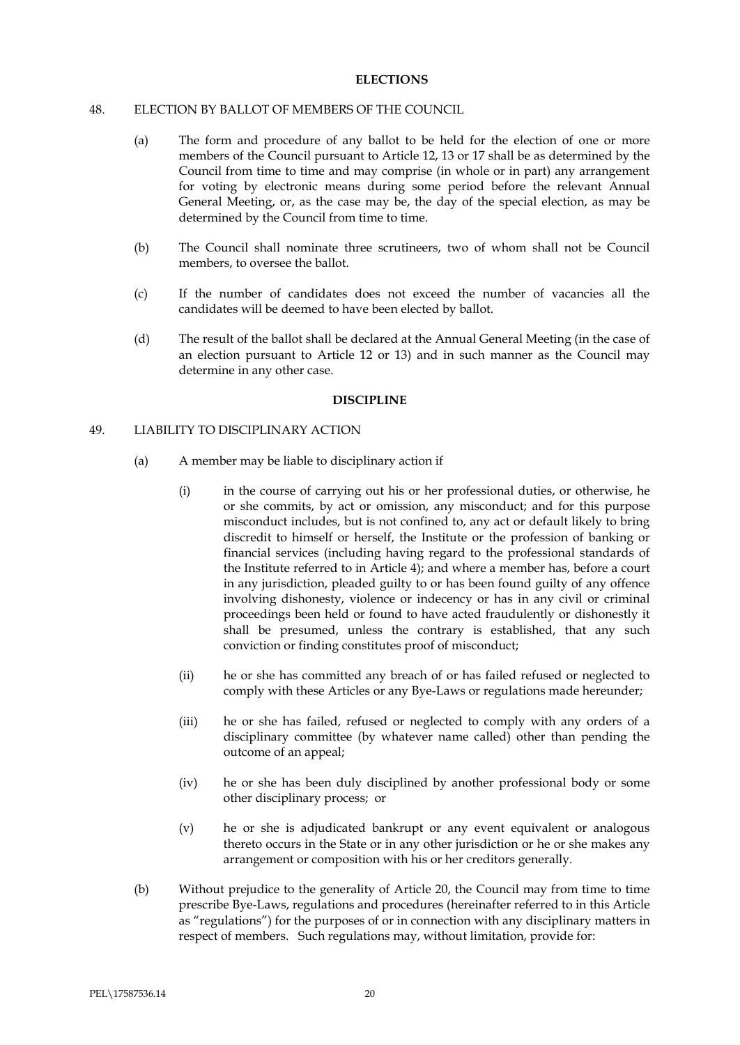# **ELECTIONS**

# 48. ELECTION BY BALLOT OF MEMBERS OF THE COUNCIL

- (a) The form and procedure of any ballot to be held for the election of one or more members of the Council pursuant to Article 12, 13 or 17 shall be as determined by the Council from time to time and may comprise (in whole or in part) any arrangement for voting by electronic means during some period before the relevant Annual General Meeting, or, as the case may be, the day of the special election, as may be determined by the Council from time to time.
- (b) The Council shall nominate three scrutineers, two of whom shall not be Council members, to oversee the ballot.
- (c) If the number of candidates does not exceed the number of vacancies all the candidates will be deemed to have been elected by ballot.
- (d) The result of the ballot shall be declared at the Annual General Meeting (in the case of an election pursuant to Article 12 or 13) and in such manner as the Council may determine in any other case.

# **DISCIPLINE**

# 49. LIABILITY TO DISCIPLINARY ACTION

- (a) A member may be liable to disciplinary action if
	- (i) in the course of carrying out his or her professional duties, or otherwise, he or she commits, by act or omission, any misconduct; and for this purpose misconduct includes, but is not confined to, any act or default likely to bring discredit to himself or herself, the Institute or the profession of banking or financial services (including having regard to the professional standards of the Institute referred to in Article 4); and where a member has, before a court in any jurisdiction, pleaded guilty to or has been found guilty of any offence involving dishonesty, violence or indecency or has in any civil or criminal proceedings been held or found to have acted fraudulently or dishonestly it shall be presumed, unless the contrary is established, that any such conviction or finding constitutes proof of misconduct;
	- (ii) he or she has committed any breach of or has failed refused or neglected to comply with these Articles or any Bye-Laws or regulations made hereunder;
	- (iii) he or she has failed, refused or neglected to comply with any orders of a disciplinary committee (by whatever name called) other than pending the outcome of an appeal;
	- (iv) he or she has been duly disciplined by another professional body or some other disciplinary process; or
	- (v) he or she is adjudicated bankrupt or any event equivalent or analogous thereto occurs in the State or in any other jurisdiction or he or she makes any arrangement or composition with his or her creditors generally.
- (b) Without prejudice to the generality of Article 20, the Council may from time to time prescribe Bye-Laws, regulations and procedures (hereinafter referred to in this Article as "regulations") for the purposes of or in connection with any disciplinary matters in respect of members. Such regulations may, without limitation, provide for: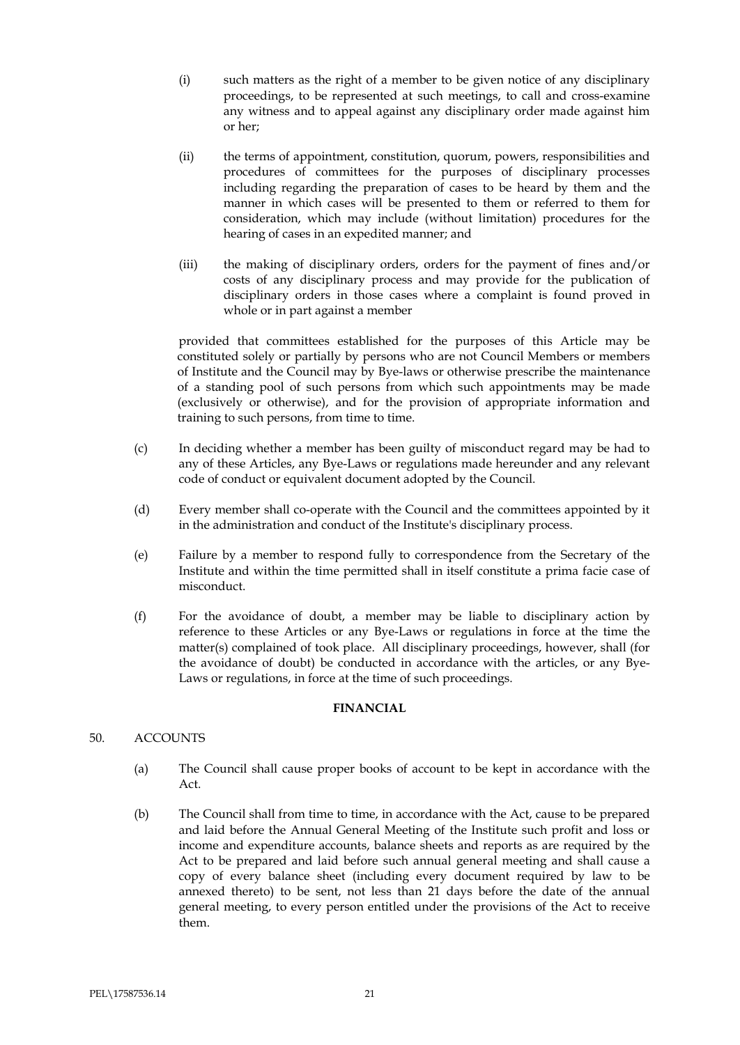- (i) such matters as the right of a member to be given notice of any disciplinary proceedings, to be represented at such meetings, to call and cross-examine any witness and to appeal against any disciplinary order made against him or her;
- (ii) the terms of appointment, constitution, quorum, powers, responsibilities and procedures of committees for the purposes of disciplinary processes including regarding the preparation of cases to be heard by them and the manner in which cases will be presented to them or referred to them for consideration, which may include (without limitation) procedures for the hearing of cases in an expedited manner; and
- (iii) the making of disciplinary orders, orders for the payment of fines and/or costs of any disciplinary process and may provide for the publication of disciplinary orders in those cases where a complaint is found proved in whole or in part against a member

provided that committees established for the purposes of this Article may be constituted solely or partially by persons who are not Council Members or members of Institute and the Council may by Bye-laws or otherwise prescribe the maintenance of a standing pool of such persons from which such appointments may be made (exclusively or otherwise), and for the provision of appropriate information and training to such persons, from time to time.

- (c) In deciding whether a member has been guilty of misconduct regard may be had to any of these Articles, any Bye-Laws or regulations made hereunder and any relevant code of conduct or equivalent document adopted by the Council.
- (d) Every member shall co-operate with the Council and the committees appointed by it in the administration and conduct of the Institute's disciplinary process.
- (e) Failure by a member to respond fully to correspondence from the Secretary of the Institute and within the time permitted shall in itself constitute a prima facie case of misconduct.
- (f) For the avoidance of doubt, a member may be liable to disciplinary action by reference to these Articles or any Bye-Laws or regulations in force at the time the matter(s) complained of took place. All disciplinary proceedings, however, shall (for the avoidance of doubt) be conducted in accordance with the articles, or any Bye-Laws or regulations, in force at the time of such proceedings.

# **FINANCIAL**

# 50. ACCOUNTS

- (a) The Council shall cause proper books of account to be kept in accordance with the Act.
- (b) The Council shall from time to time, in accordance with the Act, cause to be prepared and laid before the Annual General Meeting of the Institute such profit and loss or income and expenditure accounts, balance sheets and reports as are required by the Act to be prepared and laid before such annual general meeting and shall cause a copy of every balance sheet (including every document required by law to be annexed thereto) to be sent, not less than 21 days before the date of the annual general meeting, to every person entitled under the provisions of the Act to receive them.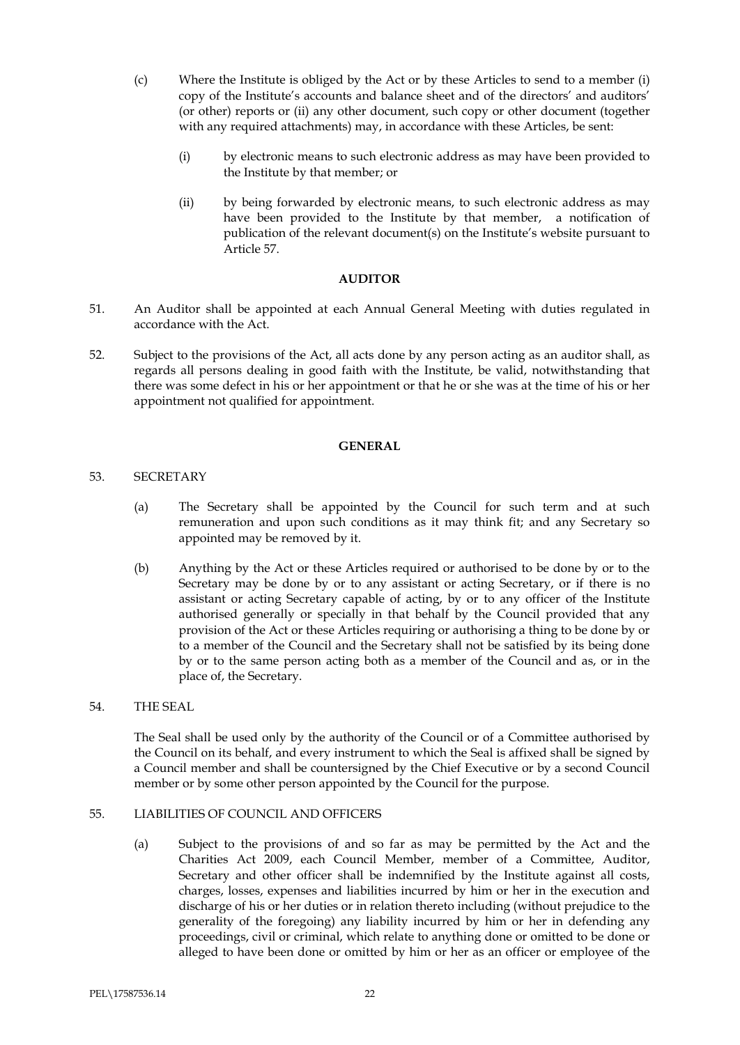- (c) Where the Institute is obliged by the Act or by these Articles to send to a member (i) copy of the Institute's accounts and balance sheet and of the directors' and auditors' (or other) reports or (ii) any other document, such copy or other document (together with any required attachments) may, in accordance with these Articles, be sent:
	- (i) by electronic means to such electronic address as may have been provided to the Institute by that member; or
	- (ii) by being forwarded by electronic means, to such electronic address as may have been provided to the Institute by that member, a notification of publication of the relevant document(s) on the Institute's website pursuant to Article 57.

# **AUDITOR**

- 51. An Auditor shall be appointed at each Annual General Meeting with duties regulated in accordance with the Act.
- 52. Subject to the provisions of the Act, all acts done by any person acting as an auditor shall, as regards all persons dealing in good faith with the Institute, be valid, notwithstanding that there was some defect in his or her appointment or that he or she was at the time of his or her appointment not qualified for appointment.

#### **GENERAL**

# 53. SECRETARY

- (a) The Secretary shall be appointed by the Council for such term and at such remuneration and upon such conditions as it may think fit; and any Secretary so appointed may be removed by it.
- (b) Anything by the Act or these Articles required or authorised to be done by or to the Secretary may be done by or to any assistant or acting Secretary, or if there is no assistant or acting Secretary capable of acting, by or to any officer of the Institute authorised generally or specially in that behalf by the Council provided that any provision of the Act or these Articles requiring or authorising a thing to be done by or to a member of the Council and the Secretary shall not be satisfied by its being done by or to the same person acting both as a member of the Council and as, or in the place of, the Secretary.

# 54. THE SEAL

The Seal shall be used only by the authority of the Council or of a Committee authorised by the Council on its behalf, and every instrument to which the Seal is affixed shall be signed by a Council member and shall be countersigned by the Chief Executive or by a second Council member or by some other person appointed by the Council for the purpose.

# 55. LIABILITIES OF COUNCIL AND OFFICERS

(a) Subject to the provisions of and so far as may be permitted by the Act and the Charities Act 2009, each Council Member, member of a Committee, Auditor, Secretary and other officer shall be indemnified by the Institute against all costs, charges, losses, expenses and liabilities incurred by him or her in the execution and discharge of his or her duties or in relation thereto including (without prejudice to the generality of the foregoing) any liability incurred by him or her in defending any proceedings, civil or criminal, which relate to anything done or omitted to be done or alleged to have been done or omitted by him or her as an officer or employee of the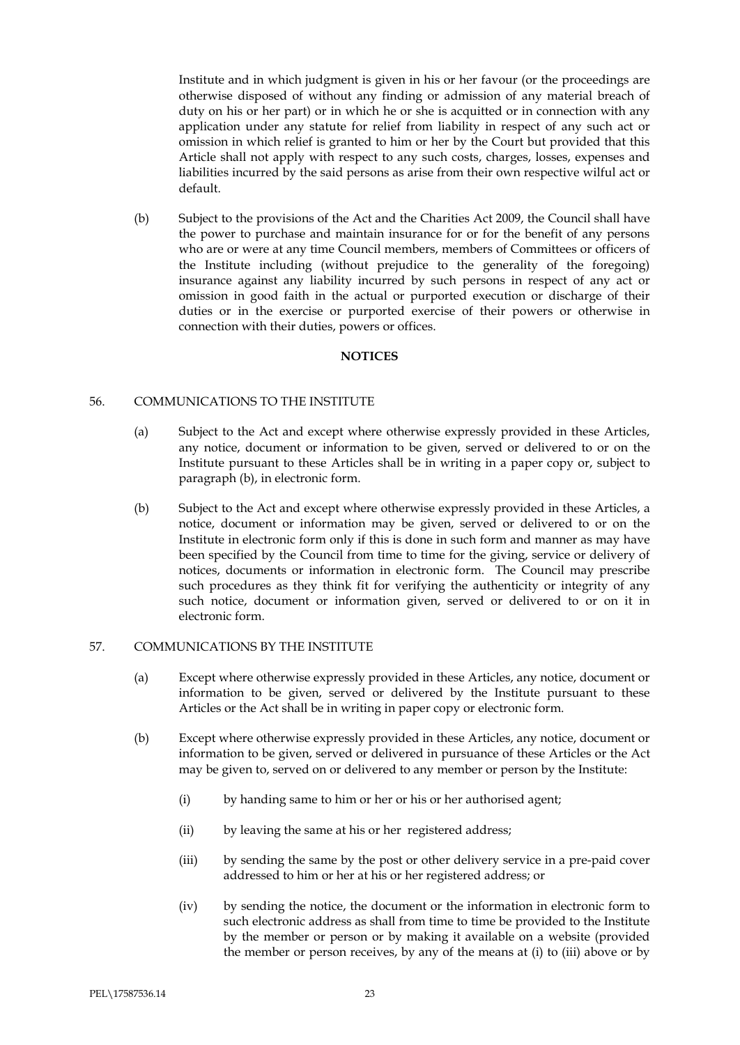Institute and in which judgment is given in his or her favour (or the proceedings are otherwise disposed of without any finding or admission of any material breach of duty on his or her part) or in which he or she is acquitted or in connection with any application under any statute for relief from liability in respect of any such act or omission in which relief is granted to him or her by the Court but provided that this Article shall not apply with respect to any such costs, charges, losses, expenses and liabilities incurred by the said persons as arise from their own respective wilful act or default.

(b) Subject to the provisions of the Act and the Charities Act 2009, the Council shall have the power to purchase and maintain insurance for or for the benefit of any persons who are or were at any time Council members, members of Committees or officers of the Institute including (without prejudice to the generality of the foregoing) insurance against any liability incurred by such persons in respect of any act or omission in good faith in the actual or purported execution or discharge of their duties or in the exercise or purported exercise of their powers or otherwise in connection with their duties, powers or offices.

# **NOTICES**

# 56. COMMUNICATIONS TO THE INSTITUTE

- (a) Subject to the Act and except where otherwise expressly provided in these Articles, any notice, document or information to be given, served or delivered to or on the Institute pursuant to these Articles shall be in writing in a paper copy or, subject to paragraph (b), in electronic form.
- (b) Subject to the Act and except where otherwise expressly provided in these Articles, a notice, document or information may be given, served or delivered to or on the Institute in electronic form only if this is done in such form and manner as may have been specified by the Council from time to time for the giving, service or delivery of notices, documents or information in electronic form. The Council may prescribe such procedures as they think fit for verifying the authenticity or integrity of any such notice, document or information given, served or delivered to or on it in electronic form.

# 57. COMMUNICATIONS BY THE INSTITUTE

- (a) Except where otherwise expressly provided in these Articles, any notice, document or information to be given, served or delivered by the Institute pursuant to these Articles or the Act shall be in writing in paper copy or electronic form.
- (b) Except where otherwise expressly provided in these Articles, any notice, document or information to be given, served or delivered in pursuance of these Articles or the Act may be given to, served on or delivered to any member or person by the Institute:
	- (i) by handing same to him or her or his or her authorised agent;
	- (ii) by leaving the same at his or her registered address;
	- (iii) by sending the same by the post or other delivery service in a pre-paid cover addressed to him or her at his or her registered address; or
	- (iv) by sending the notice, the document or the information in electronic form to such electronic address as shall from time to time be provided to the Institute by the member or person or by making it available on a website (provided the member or person receives, by any of the means at (i) to (iii) above or by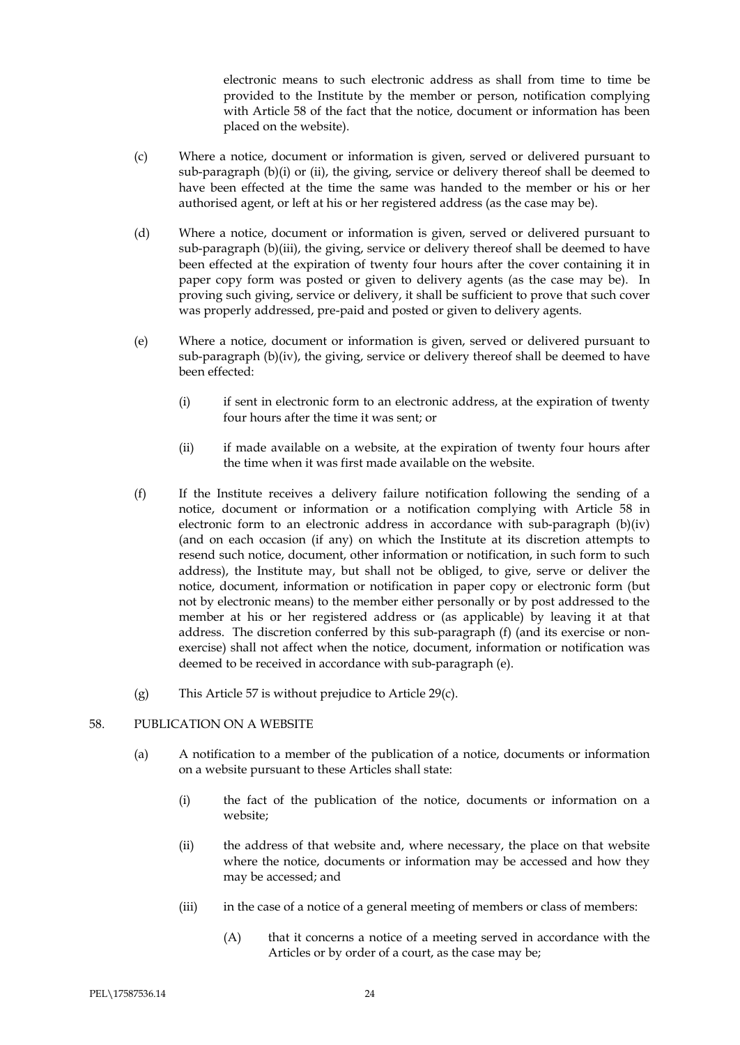electronic means to such electronic address as shall from time to time be provided to the Institute by the member or person, notification complying with Article 58 of the fact that the notice, document or information has been placed on the website).

- (c) Where a notice, document or information is given, served or delivered pursuant to sub-paragraph  $(b)(i)$  or (ii), the giving, service or delivery thereof shall be deemed to have been effected at the time the same was handed to the member or his or her authorised agent, or left at his or her registered address (as the case may be).
- (d) Where a notice, document or information is given, served or delivered pursuant to sub-paragraph (b)(iii), the giving, service or delivery thereof shall be deemed to have been effected at the expiration of twenty four hours after the cover containing it in paper copy form was posted or given to delivery agents (as the case may be). In proving such giving, service or delivery, it shall be sufficient to prove that such cover was properly addressed, pre-paid and posted or given to delivery agents.
- (e) Where a notice, document or information is given, served or delivered pursuant to sub-paragraph  $(b)(iv)$ , the giving, service or delivery thereof shall be deemed to have been effected:
	- (i) if sent in electronic form to an electronic address, at the expiration of twenty four hours after the time it was sent; or
	- (ii) if made available on a website, at the expiration of twenty four hours after the time when it was first made available on the website.
- (f) If the Institute receives a delivery failure notification following the sending of a notice, document or information or a notification complying with Article 58 in electronic form to an electronic address in accordance with sub-paragraph (b)(iv) (and on each occasion (if any) on which the Institute at its discretion attempts to resend such notice, document, other information or notification, in such form to such address), the Institute may, but shall not be obliged, to give, serve or deliver the notice, document, information or notification in paper copy or electronic form (but not by electronic means) to the member either personally or by post addressed to the member at his or her registered address or (as applicable) by leaving it at that address. The discretion conferred by this sub-paragraph (f) (and its exercise or nonexercise) shall not affect when the notice, document, information or notification was deemed to be received in accordance with sub-paragraph (e).
- (g) This Article 57 is without prejudice to Article 29(c).

# 58. PUBLICATION ON A WEBSITE

- (a) A notification to a member of the publication of a notice, documents or information on a website pursuant to these Articles shall state:
	- (i) the fact of the publication of the notice, documents or information on a website;
	- (ii) the address of that website and, where necessary, the place on that website where the notice, documents or information may be accessed and how they may be accessed; and
	- (iii) in the case of a notice of a general meeting of members or class of members:
		- (A) that it concerns a notice of a meeting served in accordance with the Articles or by order of a court, as the case may be;